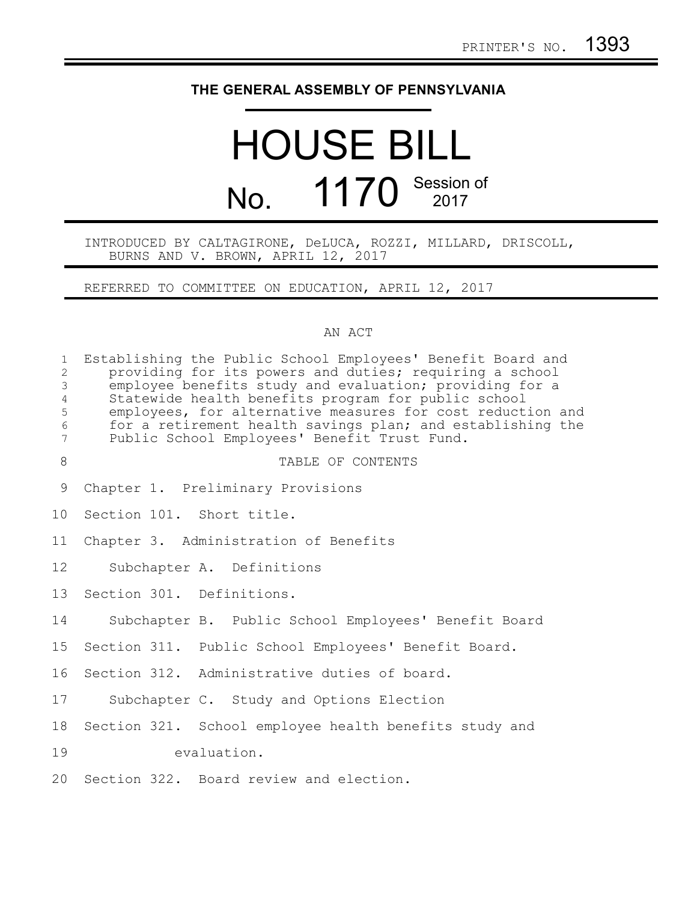## **THE GENERAL ASSEMBLY OF PENNSYLVANIA**

# HOUSE BILL No. 1170 Session of

### INTRODUCED BY CALTAGIRONE, DeLUCA, ROZZI, MILLARD, DRISCOLL, BURNS AND V. BROWN, APRIL 12, 2017

REFERRED TO COMMITTEE ON EDUCATION, APRIL 12, 2017

## AN ACT

| $\mathbf{1}$<br>$\overline{2}$<br>$\mathfrak{Z}$<br>$\overline{4}$<br>5<br>$\sqrt{6}$<br>$7\phantom{.0}$ | Establishing the Public School Employees' Benefit Board and<br>providing for its powers and duties; requiring a school<br>employee benefits study and evaluation; providing for a<br>Statewide health benefits program for public school<br>employees, for alternative measures for cost reduction and<br>for a retirement health savings plan; and establishing the<br>Public School Employees' Benefit Trust Fund. |
|----------------------------------------------------------------------------------------------------------|----------------------------------------------------------------------------------------------------------------------------------------------------------------------------------------------------------------------------------------------------------------------------------------------------------------------------------------------------------------------------------------------------------------------|
| 8                                                                                                        | TABLE OF CONTENTS                                                                                                                                                                                                                                                                                                                                                                                                    |
| 9                                                                                                        | Chapter 1. Preliminary Provisions                                                                                                                                                                                                                                                                                                                                                                                    |
| 10 <sub>o</sub>                                                                                          | Section 101. Short title.                                                                                                                                                                                                                                                                                                                                                                                            |
| 11                                                                                                       | Chapter 3. Administration of Benefits                                                                                                                                                                                                                                                                                                                                                                                |
| 12                                                                                                       | Subchapter A. Definitions                                                                                                                                                                                                                                                                                                                                                                                            |
| 13                                                                                                       | Section 301. Definitions.                                                                                                                                                                                                                                                                                                                                                                                            |
| 14                                                                                                       | Subchapter B. Public School Employees' Benefit Board                                                                                                                                                                                                                                                                                                                                                                 |
| 15                                                                                                       | Section 311. Public School Employees' Benefit Board.                                                                                                                                                                                                                                                                                                                                                                 |
| 16                                                                                                       | Section 312. Administrative duties of board.                                                                                                                                                                                                                                                                                                                                                                         |
| 17                                                                                                       | Subchapter C. Study and Options Election                                                                                                                                                                                                                                                                                                                                                                             |
| 18                                                                                                       | Section 321. School employee health benefits study and                                                                                                                                                                                                                                                                                                                                                               |
| 19                                                                                                       | evaluation.                                                                                                                                                                                                                                                                                                                                                                                                          |
| 20                                                                                                       | Section 322. Board review and election.                                                                                                                                                                                                                                                                                                                                                                              |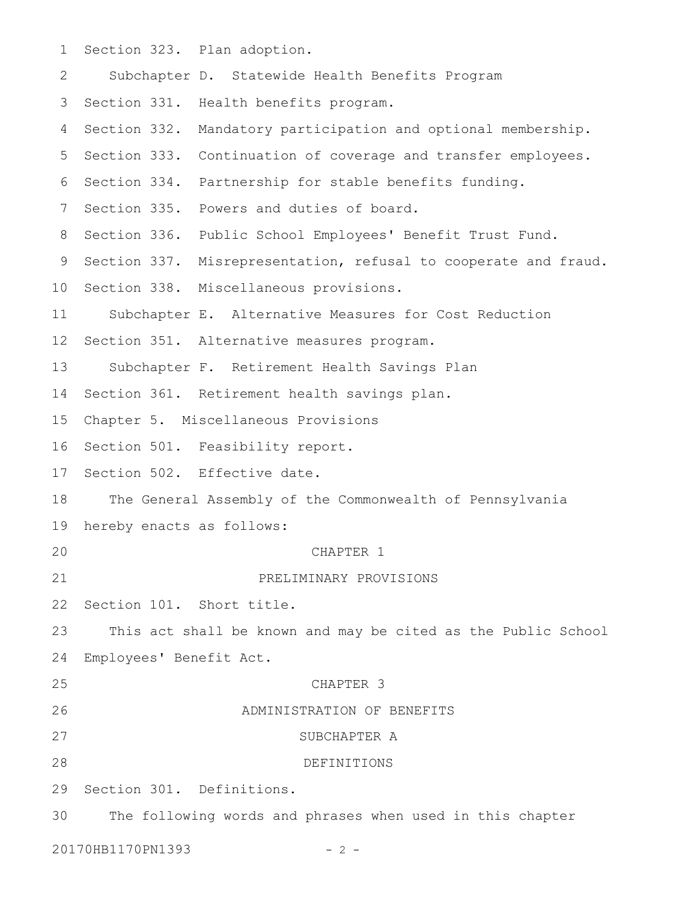Section 323. Plan adoption. Subchapter D. Statewide Health Benefits Program 3 Section 331. Health benefits program. 4 Section 332. Mandatory participation and optional membership. 5 Section 333. Continuation of coverage and transfer employees. 6 Section 334. Partnership for stable benefits funding. 7 Section 335. Powers and duties of board. 8 Section 336. Public School Employees' Benefit Trust Fund. 9 Section 337. Misrepresentation, refusal to cooperate and fraud. 10 Section 338. Miscellaneous provisions. Subchapter E. Alternative Measures for Cost Reduction Section 351. Alternative measures program. Subchapter F. Retirement Health Savings Plan Section 361. Retirement health savings plan. Chapter 5. Miscellaneous Provisions Section 501. Feasibility report. 17 Section 502. Effective date. The General Assembly of the Commonwealth of Pennsylvania hereby enacts as follows: CHAPTER 1 PRELIMINARY PROVISIONS 22 Section 101. Short title. This act shall be known and may be cited as the Public School Employees' Benefit Act. CHAPTER 3 ADMINISTRATION OF BENEFITS SUBCHAPTER A DEFINITIONS Section 301. Definitions. The following words and phrases when used in this chapter 20170HB1170PN1393 - 2 -1 2 11 12 13 14 15 16 18 19 20 21 23 24 25 26 27 28 29 30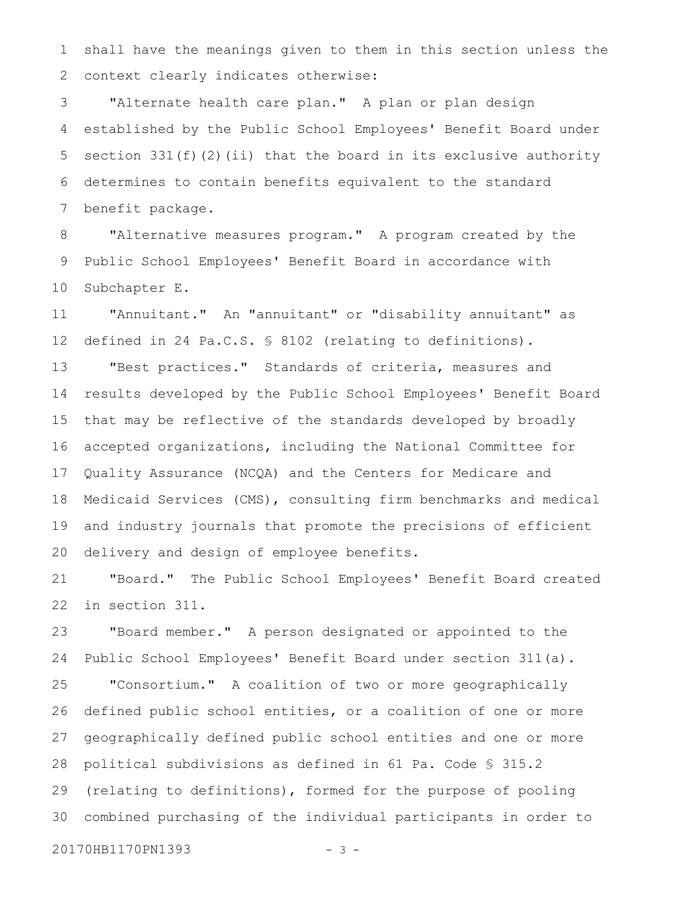shall have the meanings given to them in this section unless the context clearly indicates otherwise: 1 2

"Alternate health care plan." A plan or plan design established by the Public School Employees' Benefit Board under section  $331(f)(2)(ii)$  that the board in its exclusive authority determines to contain benefits equivalent to the standard benefit package. 3 4 5 6 7

"Alternative measures program." A program created by the Public School Employees' Benefit Board in accordance with Subchapter E. 8 9 10

"Annuitant." An "annuitant" or "disability annuitant" as defined in 24 Pa.C.S. § 8102 (relating to definitions). 11 12

"Best practices." Standards of criteria, measures and results developed by the Public School Employees' Benefit Board that may be reflective of the standards developed by broadly accepted organizations, including the National Committee for Quality Assurance (NCQA) and the Centers for Medicare and Medicaid Services (CMS), consulting firm benchmarks and medical and industry journals that promote the precisions of efficient delivery and design of employee benefits. 13 14 15 16 17 18 19 20

"Board." The Public School Employees' Benefit Board created in section 311. 21 22

"Board member." A person designated or appointed to the Public School Employees' Benefit Board under section 311(a). 23 24

"Consortium." A coalition of two or more geographically defined public school entities, or a coalition of one or more geographically defined public school entities and one or more political subdivisions as defined in 61 Pa. Code § 315.2 (relating to definitions), formed for the purpose of pooling combined purchasing of the individual participants in order to 25 26 27 28 29 30

20170HB1170PN1393 - 3 -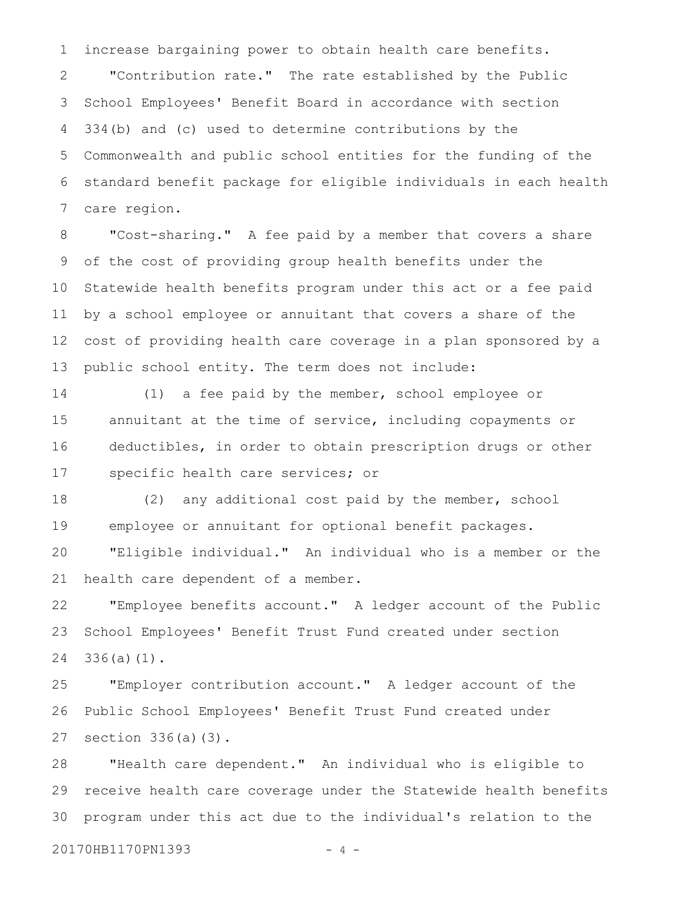increase bargaining power to obtain health care benefits. 1

"Contribution rate." The rate established by the Public School Employees' Benefit Board in accordance with section 334(b) and (c) used to determine contributions by the Commonwealth and public school entities for the funding of the standard benefit package for eligible individuals in each health care region. 2 3 4 5 6 7

"Cost-sharing." A fee paid by a member that covers a share of the cost of providing group health benefits under the Statewide health benefits program under this act or a fee paid by a school employee or annuitant that covers a share of the cost of providing health care coverage in a plan sponsored by a public school entity. The term does not include: 8 9 10 11 12 13

(1) a fee paid by the member, school employee or annuitant at the time of service, including copayments or deductibles, in order to obtain prescription drugs or other specific health care services; or 14 15 16 17

(2) any additional cost paid by the member, school employee or annuitant for optional benefit packages. 18 19

"Eligible individual." An individual who is a member or the health care dependent of a member. 20 21

"Employee benefits account." A ledger account of the Public School Employees' Benefit Trust Fund created under section 336(a)(1). 22 23 24

"Employer contribution account." A ledger account of the Public School Employees' Benefit Trust Fund created under section  $336(a)(3)$ . 25 26 27

"Health care dependent." An individual who is eligible to receive health care coverage under the Statewide health benefits program under this act due to the individual's relation to the 28 29 30

20170HB1170PN1393 - 4 -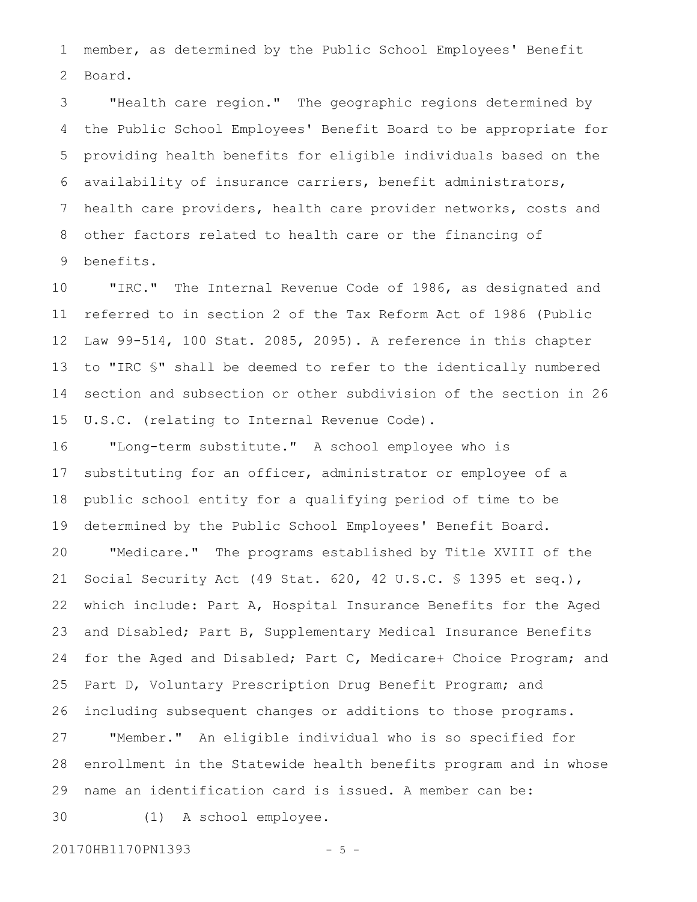member, as determined by the Public School Employees' Benefit Board. 1 2

"Health care region." The geographic regions determined by the Public School Employees' Benefit Board to be appropriate for providing health benefits for eligible individuals based on the availability of insurance carriers, benefit administrators, health care providers, health care provider networks, costs and other factors related to health care or the financing of benefits. 3 4 5 6 7 8 9

"IRC." The Internal Revenue Code of 1986, as designated and referred to in section 2 of the Tax Reform Act of 1986 (Public Law 99-514, 100 Stat. 2085, 2095). A reference in this chapter to "IRC §" shall be deemed to refer to the identically numbered section and subsection or other subdivision of the section in 26 U.S.C. (relating to Internal Revenue Code). 10 11 12 13 14 15

"Long-term substitute." A school employee who is substituting for an officer, administrator or employee of a public school entity for a qualifying period of time to be determined by the Public School Employees' Benefit Board. "Medicare." The programs established by Title XVIII of the Social Security Act (49 Stat. 620, 42 U.S.C. § 1395 et seq.), which include: Part A, Hospital Insurance Benefits for the Aged and Disabled; Part B, Supplementary Medical Insurance Benefits for the Aged and Disabled; Part C, Medicare+ Choice Program; and Part D, Voluntary Prescription Drug Benefit Program; and including subsequent changes or additions to those programs. "Member." An eligible individual who is so specified for enrollment in the Statewide health benefits program and in whose name an identification card is issued. A member can be: (1) A school employee. 16 17 18 19 20 21 22 23 24 25 26 27 28 29 30

20170HB1170PN1393 - 5 -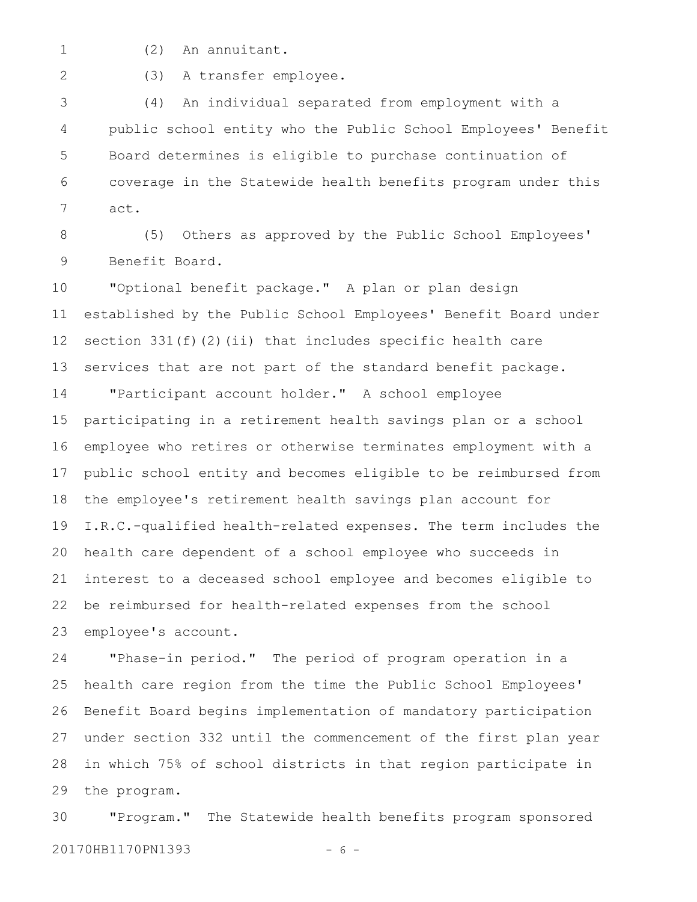(2) An annuitant. 1

2

(3) A transfer employee.

(4) An individual separated from employment with a public school entity who the Public School Employees' Benefit Board determines is eligible to purchase continuation of coverage in the Statewide health benefits program under this act. 3 4 5 6 7

(5) Others as approved by the Public School Employees' Benefit Board. 8 9

"Optional benefit package." A plan or plan design established by the Public School Employees' Benefit Board under section 331(f)(2)(ii) that includes specific health care services that are not part of the standard benefit package. 10 11 12 13

"Participant account holder." A school employee participating in a retirement health savings plan or a school employee who retires or otherwise terminates employment with a public school entity and becomes eligible to be reimbursed from the employee's retirement health savings plan account for I.R.C.-qualified health-related expenses. The term includes the health care dependent of a school employee who succeeds in interest to a deceased school employee and becomes eligible to be reimbursed for health-related expenses from the school employee's account. 14 15 16 17 18 19 20 21 22 23

"Phase-in period." The period of program operation in a health care region from the time the Public School Employees' Benefit Board begins implementation of mandatory participation under section 332 until the commencement of the first plan year in which 75% of school districts in that region participate in the program. 24 25 26 27 28 29

"Program." The Statewide health benefits program sponsored 20170HB1170PN1393 - 6 -30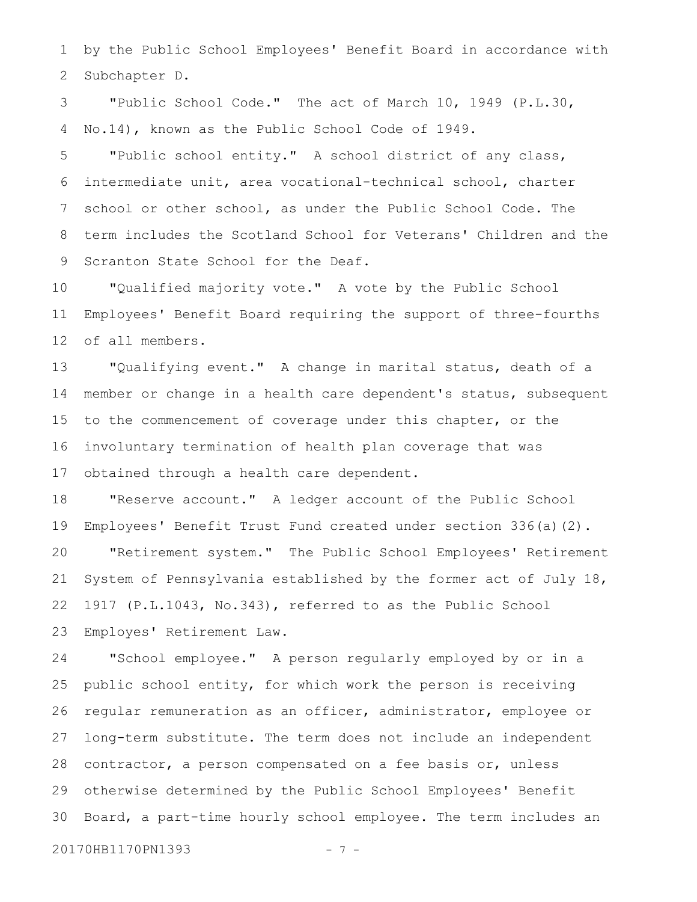by the Public School Employees' Benefit Board in accordance with Subchapter D. 1 2

"Public School Code." The act of March 10, 1949 (P.L.30, No.14), known as the Public School Code of 1949. 3 4

"Public school entity." A school district of any class, intermediate unit, area vocational-technical school, charter school or other school, as under the Public School Code. The term includes the Scotland School for Veterans' Children and the Scranton State School for the Deaf. 5 6 7 8 9

"Qualified majority vote." A vote by the Public School Employees' Benefit Board requiring the support of three-fourths of all members. 10 11 12

"Qualifying event." A change in marital status, death of a member or change in a health care dependent's status, subsequent to the commencement of coverage under this chapter, or the involuntary termination of health plan coverage that was obtained through a health care dependent. 13 14 15 16 17

"Reserve account." A ledger account of the Public School Employees' Benefit Trust Fund created under section 336(a)(2). "Retirement system." The Public School Employees' Retirement System of Pennsylvania established by the former act of July 18, 1917 (P.L.1043, No.343), referred to as the Public School Employes' Retirement Law. 18 19 20 21 22 23

"School employee." A person regularly employed by or in a public school entity, for which work the person is receiving regular remuneration as an officer, administrator, employee or long-term substitute. The term does not include an independent contractor, a person compensated on a fee basis or, unless otherwise determined by the Public School Employees' Benefit Board, a part-time hourly school employee. The term includes an 24 25 26 27 28 29 30

20170HB1170PN1393 - 7 -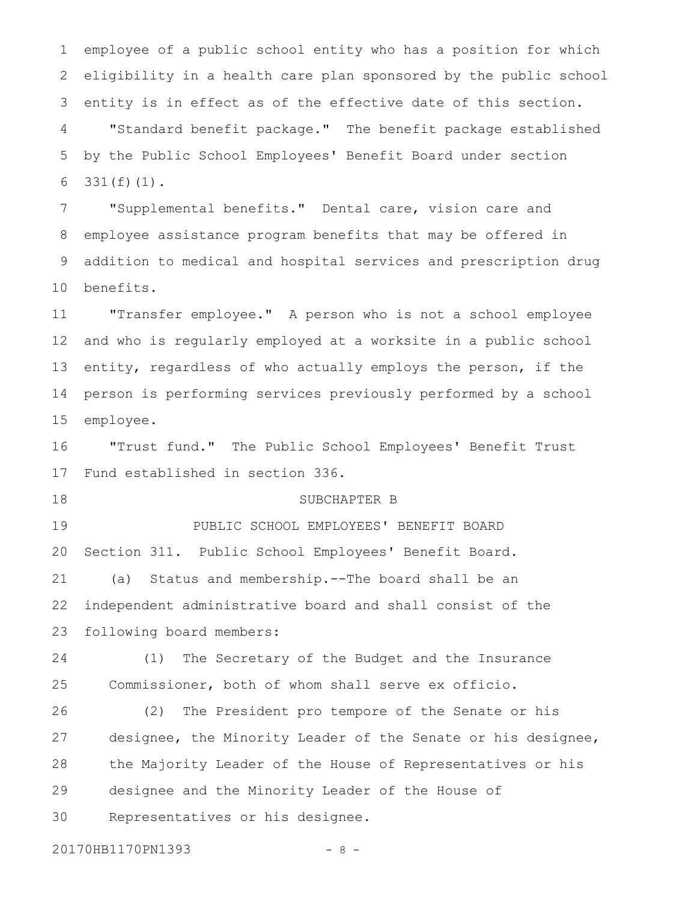employee of a public school entity who has a position for which eligibility in a health care plan sponsored by the public school entity is in effect as of the effective date of this section. "Standard benefit package." The benefit package established by the Public School Employees' Benefit Board under section 331(f)(1). 1 2 3 4 5 6

"Supplemental benefits." Dental care, vision care and employee assistance program benefits that may be offered in addition to medical and hospital services and prescription drug benefits. 7 8 9 10

"Transfer employee." A person who is not a school employee and who is regularly employed at a worksite in a public school entity, regardless of who actually employs the person, if the person is performing services previously performed by a school employee. 11 12 13 14 15

"Trust fund." The Public School Employees' Benefit Trust Fund established in section 336. 16 17

SUBCHAPTER B

PUBLIC SCHOOL EMPLOYEES' BENEFIT BOARD Section 311. Public School Employees' Benefit Board. (a) Status and membership.--The board shall be an independent administrative board and shall consist of the following board members: 19 20 21 22 23

(1) The Secretary of the Budget and the Insurance Commissioner, both of whom shall serve ex officio. 24 25

(2) The President pro tempore of the Senate or his designee, the Minority Leader of the Senate or his designee, the Majority Leader of the House of Representatives or his designee and the Minority Leader of the House of Representatives or his designee. 26 27 28 29 30

20170HB1170PN1393 - 8 -

18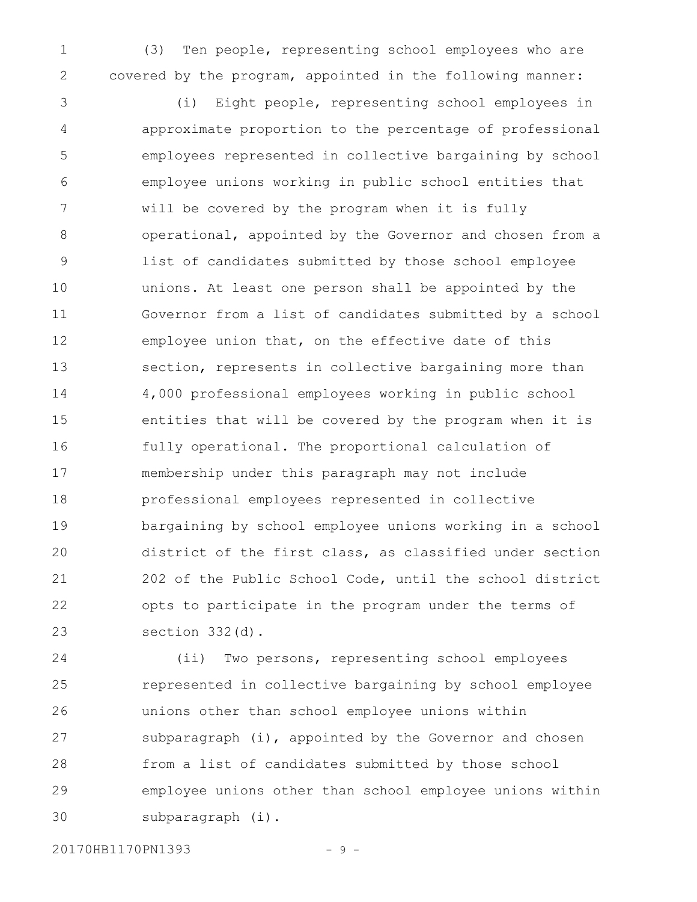(3) Ten people, representing school employees who are covered by the program, appointed in the following manner: 1 2

(i) Eight people, representing school employees in approximate proportion to the percentage of professional employees represented in collective bargaining by school employee unions working in public school entities that will be covered by the program when it is fully operational, appointed by the Governor and chosen from a list of candidates submitted by those school employee unions. At least one person shall be appointed by the Governor from a list of candidates submitted by a school employee union that, on the effective date of this section, represents in collective bargaining more than 4,000 professional employees working in public school entities that will be covered by the program when it is fully operational. The proportional calculation of membership under this paragraph may not include professional employees represented in collective bargaining by school employee unions working in a school district of the first class, as classified under section 202 of the Public School Code, until the school district opts to participate in the program under the terms of section 332(d). 3 4 5 6 7 8 9 10 11 12 13 14 15 16 17 18 19 20 21 22 23

(ii) Two persons, representing school employees represented in collective bargaining by school employee unions other than school employee unions within subparagraph (i), appointed by the Governor and chosen from a list of candidates submitted by those school employee unions other than school employee unions within subparagraph (i). 24 25 26 27 28 29 30

20170HB1170PN1393 - 9 -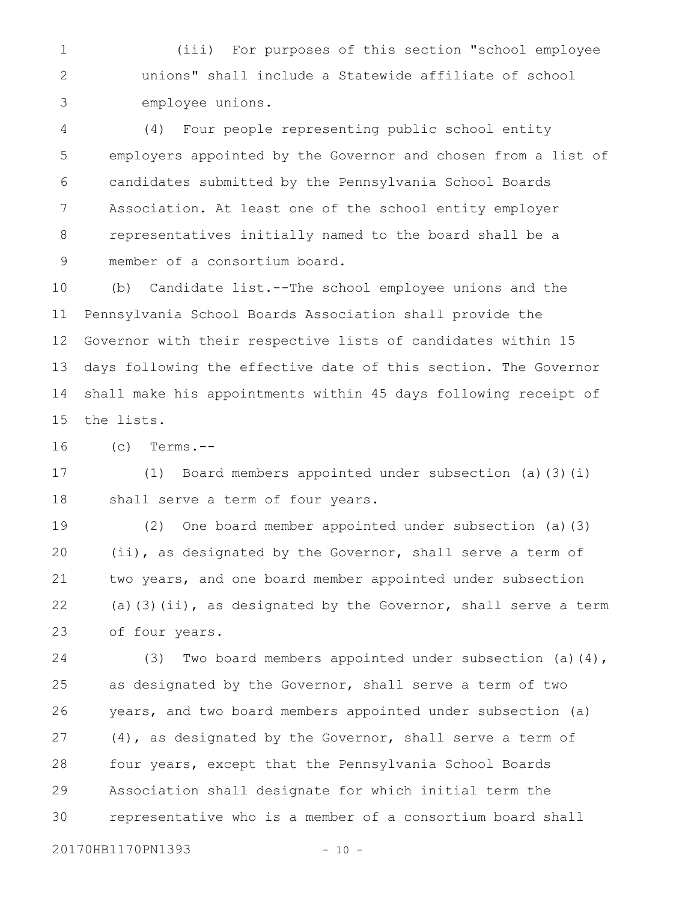(iii) For purposes of this section "school employee unions" shall include a Statewide affiliate of school employee unions. 1 2 3

(4) Four people representing public school entity employers appointed by the Governor and chosen from a list of candidates submitted by the Pennsylvania School Boards Association. At least one of the school entity employer representatives initially named to the board shall be a member of a consortium board. 4 5 6 7 8 9

(b) Candidate list.--The school employee unions and the Pennsylvania School Boards Association shall provide the Governor with their respective lists of candidates within 15 days following the effective date of this section. The Governor shall make his appointments within 45 days following receipt of the lists. 10 11 12 13 14 15

 $(c)$  Terms.--16

(1) Board members appointed under subsection (a)(3)(i) shall serve a term of four years. 17 18

(2) One board member appointed under subsection (a)(3) (ii), as designated by the Governor, shall serve a term of two years, and one board member appointed under subsection (a)(3)(ii), as designated by the Governor, shall serve a term of four years. 19 20 21 22 23

(3) Two board members appointed under subsection (a)(4), as designated by the Governor, shall serve a term of two years, and two board members appointed under subsection (a) (4), as designated by the Governor, shall serve a term of four years, except that the Pennsylvania School Boards Association shall designate for which initial term the representative who is a member of a consortium board shall 24 25 26 27 28 29 30

20170HB1170PN1393 - 10 -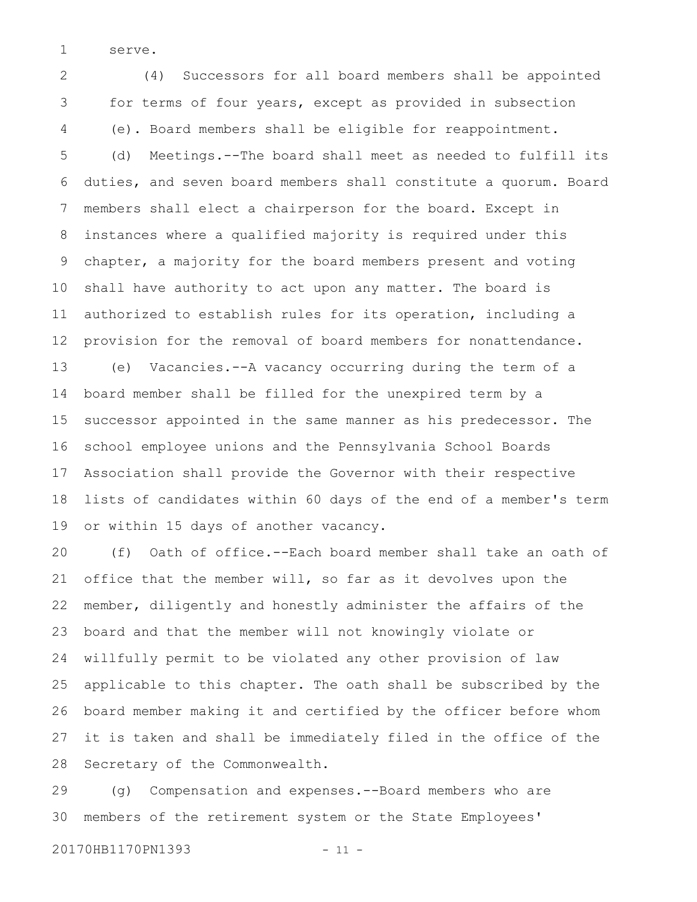serve. 1

(4) Successors for all board members shall be appointed for terms of four years, except as provided in subsection (e). Board members shall be eligible for reappointment. (d) Meetings.--The board shall meet as needed to fulfill its duties, and seven board members shall constitute a quorum. Board members shall elect a chairperson for the board. Except in instances where a qualified majority is required under this chapter, a majority for the board members present and voting shall have authority to act upon any matter. The board is authorized to establish rules for its operation, including a provision for the removal of board members for nonattendance. (e) Vacancies.--A vacancy occurring during the term of a board member shall be filled for the unexpired term by a successor appointed in the same manner as his predecessor. The school employee unions and the Pennsylvania School Boards Association shall provide the Governor with their respective lists of candidates within 60 days of the end of a member's term or within 15 days of another vacancy. 2 3 4 5 6 7 8 9 10 11 12 13 14 15 16 17 18 19

(f) Oath of office.--Each board member shall take an oath of office that the member will, so far as it devolves upon the member, diligently and honestly administer the affairs of the board and that the member will not knowingly violate or willfully permit to be violated any other provision of law applicable to this chapter. The oath shall be subscribed by the board member making it and certified by the officer before whom it is taken and shall be immediately filed in the office of the Secretary of the Commonwealth. 20 21 22 23 24 25 26 27 28

(g) Compensation and expenses.--Board members who are members of the retirement system or the State Employees' 29 30

20170HB1170PN1393 - 11 -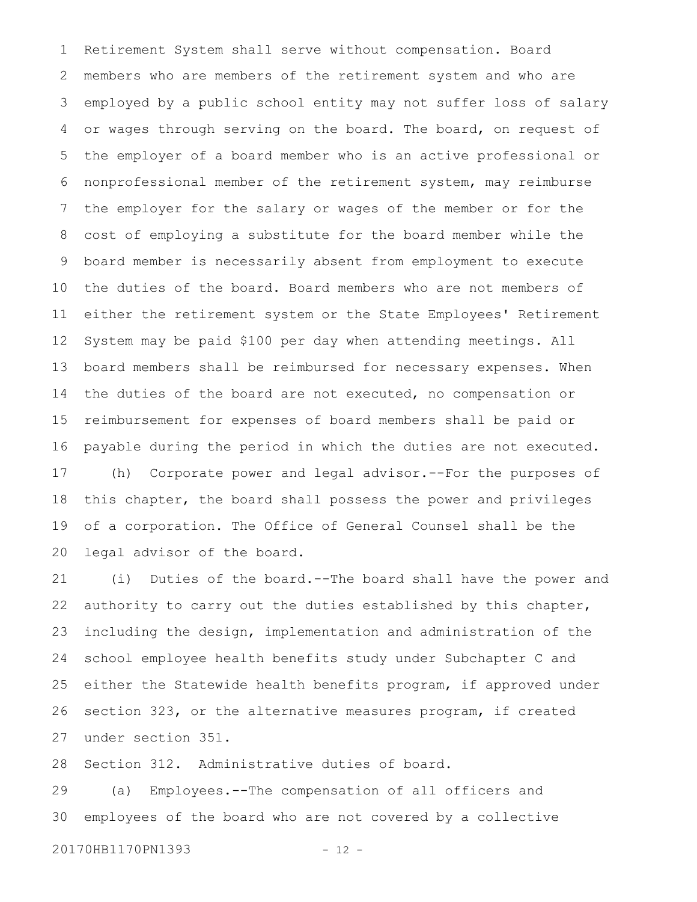Retirement System shall serve without compensation. Board members who are members of the retirement system and who are employed by a public school entity may not suffer loss of salary or wages through serving on the board. The board, on request of the employer of a board member who is an active professional or nonprofessional member of the retirement system, may reimburse the employer for the salary or wages of the member or for the cost of employing a substitute for the board member while the board member is necessarily absent from employment to execute the duties of the board. Board members who are not members of either the retirement system or the State Employees' Retirement System may be paid \$100 per day when attending meetings. All board members shall be reimbursed for necessary expenses. When the duties of the board are not executed, no compensation or reimbursement for expenses of board members shall be paid or payable during the period in which the duties are not executed. (h) Corporate power and legal advisor.--For the purposes of this chapter, the board shall possess the power and privileges of a corporation. The Office of General Counsel shall be the legal advisor of the board. 1 2 3 4 5 6 7 8 9 10 11 12 13 14 15 16 17 18 19 20

(i) Duties of the board.--The board shall have the power and authority to carry out the duties established by this chapter, including the design, implementation and administration of the school employee health benefits study under Subchapter C and either the Statewide health benefits program, if approved under section 323, or the alternative measures program, if created under section 351. 21 22 23 24 25 26 27

Section 312. Administrative duties of board. 28

(a) Employees.--The compensation of all officers and employees of the board who are not covered by a collective 29 30

20170HB1170PN1393 - 12 -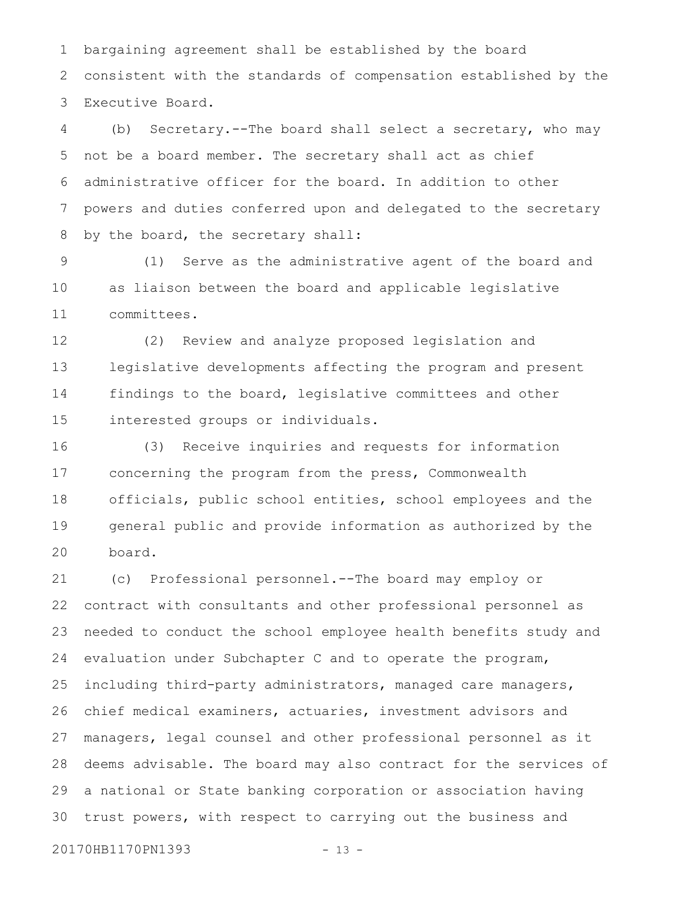bargaining agreement shall be established by the board consistent with the standards of compensation established by the Executive Board. 1 2 3

(b) Secretary.--The board shall select a secretary, who may not be a board member. The secretary shall act as chief administrative officer for the board. In addition to other powers and duties conferred upon and delegated to the secretary by the board, the secretary shall: 4 5 6 7 8

(1) Serve as the administrative agent of the board and as liaison between the board and applicable legislative committees. 9 10 11

(2) Review and analyze proposed legislation and legislative developments affecting the program and present findings to the board, legislative committees and other interested groups or individuals. 12 13 14 15

(3) Receive inquiries and requests for information concerning the program from the press, Commonwealth officials, public school entities, school employees and the general public and provide information as authorized by the board. 16 17 18 19 20

(c) Professional personnel.--The board may employ or contract with consultants and other professional personnel as needed to conduct the school employee health benefits study and evaluation under Subchapter C and to operate the program, including third-party administrators, managed care managers, chief medical examiners, actuaries, investment advisors and managers, legal counsel and other professional personnel as it deems advisable. The board may also contract for the services of a national or State banking corporation or association having trust powers, with respect to carrying out the business and 21 22 23 24 25 26 27 28 29 30

20170HB1170PN1393 - 13 -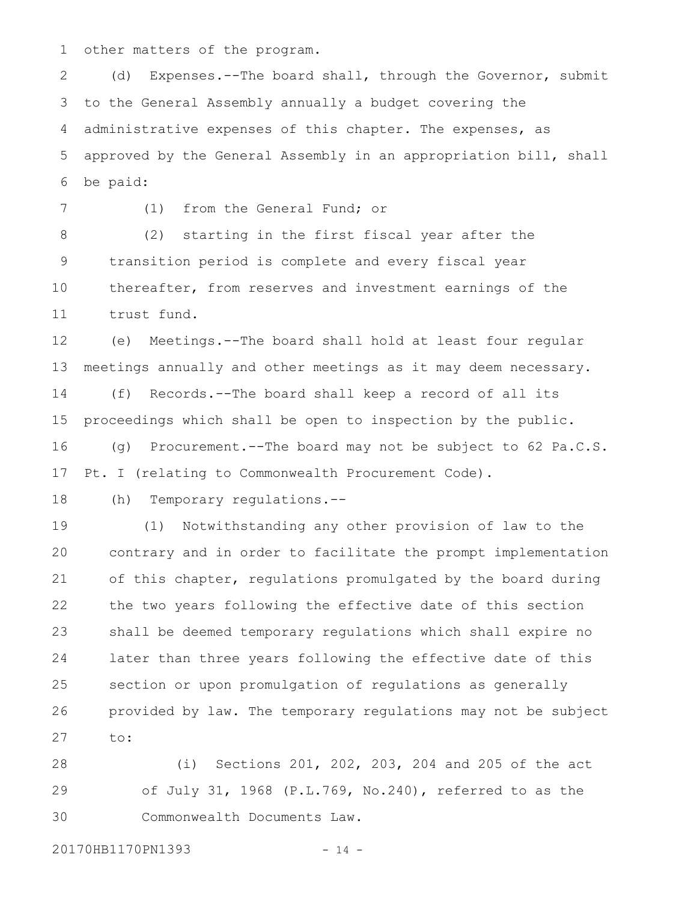other matters of the program. 1

(d) Expenses.--The board shall, through the Governor, submit to the General Assembly annually a budget covering the administrative expenses of this chapter. The expenses, as approved by the General Assembly in an appropriation bill, shall be paid: 2 3 4 5 6

7

(1) from the General Fund; or

(2) starting in the first fiscal year after the transition period is complete and every fiscal year thereafter, from reserves and investment earnings of the trust fund. 8 9 10 11

(e) Meetings.--The board shall hold at least four regular meetings annually and other meetings as it may deem necessary. (f) Records.--The board shall keep a record of all its proceedings which shall be open to inspection by the public. (g) Procurement.--The board may not be subject to 62 Pa.C.S. Pt. I (relating to Commonwealth Procurement Code). 12 13 14 15 16 17

(h) Temporary regulations.-- 18

(1) Notwithstanding any other provision of law to the contrary and in order to facilitate the prompt implementation of this chapter, regulations promulgated by the board during the two years following the effective date of this section shall be deemed temporary regulations which shall expire no later than three years following the effective date of this section or upon promulgation of regulations as generally provided by law. The temporary regulations may not be subject to: 19 20 21 22 23 24 25 26 27

(i) Sections 201, 202, 203, 204 and 205 of the act of July 31, 1968 (P.L.769, No.240), referred to as the Commonwealth Documents Law. 28 29 30

20170HB1170PN1393 - 14 -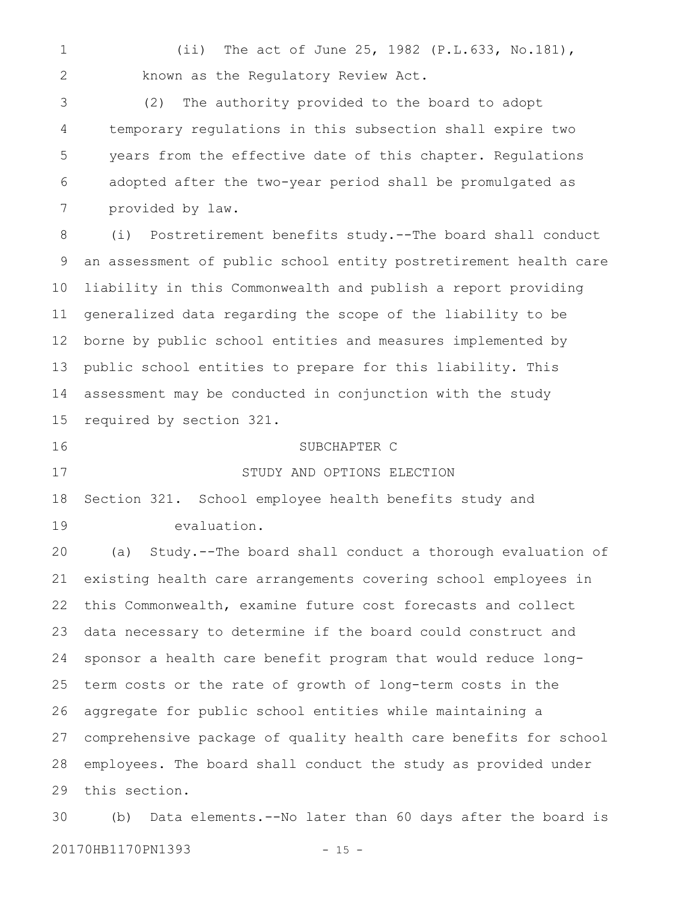(ii) The act of June 25, 1982 (P.L.633, No.181), known as the Regulatory Review Act. 1 2

(2) The authority provided to the board to adopt temporary regulations in this subsection shall expire two years from the effective date of this chapter. Regulations adopted after the two-year period shall be promulgated as provided by law. 3 4 5 6 7

(i) Postretirement benefits study.--The board shall conduct an assessment of public school entity postretirement health care liability in this Commonwealth and publish a report providing generalized data regarding the scope of the liability to be borne by public school entities and measures implemented by public school entities to prepare for this liability. This assessment may be conducted in conjunction with the study required by section 321. 8 9 10 11 12 13 14 15

16

17

## SUBCHAPTER C

#### STUDY AND OPTIONS ELECTION

Section 321. School employee health benefits study and evaluation. 18 19

(a) Study.--The board shall conduct a thorough evaluation of existing health care arrangements covering school employees in this Commonwealth, examine future cost forecasts and collect data necessary to determine if the board could construct and sponsor a health care benefit program that would reduce longterm costs or the rate of growth of long-term costs in the aggregate for public school entities while maintaining a comprehensive package of quality health care benefits for school employees. The board shall conduct the study as provided under this section. 20 21 22 23 24 25 26 27 28 29

(b) Data elements.--No later than 60 days after the board is 20170HB1170PN1393 - 15 -30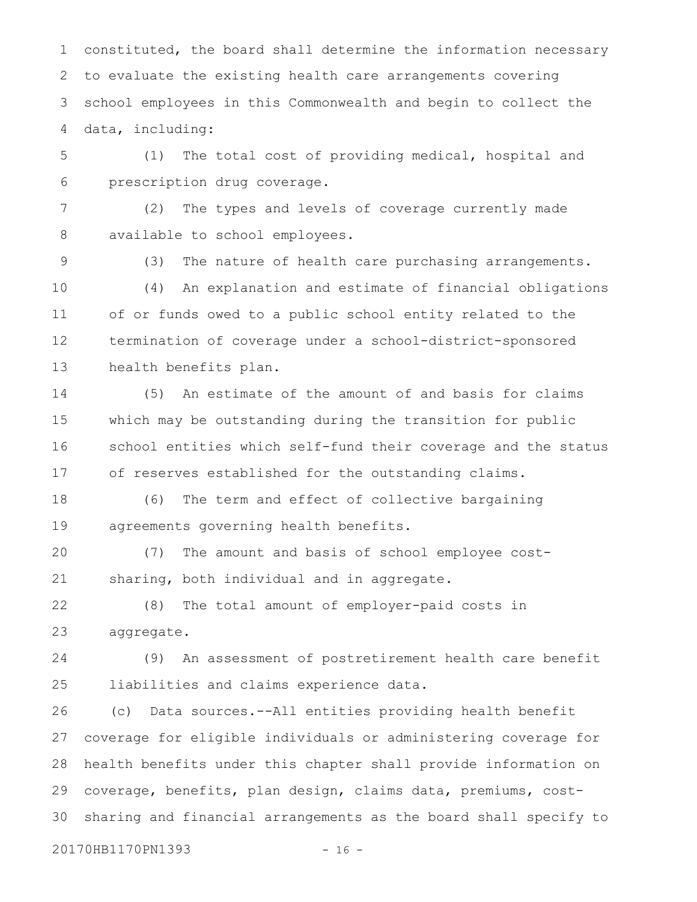constituted, the board shall determine the information necessary to evaluate the existing health care arrangements covering school employees in this Commonwealth and begin to collect the data, including: 1 2 3 4

(1) The total cost of providing medical, hospital and prescription drug coverage. 5 6

(2) The types and levels of coverage currently made available to school employees. 7 8

9

(3) The nature of health care purchasing arrangements.

(4) An explanation and estimate of financial obligations of or funds owed to a public school entity related to the termination of coverage under a school-district-sponsored health benefits plan. 10 11 12 13

(5) An estimate of the amount of and basis for claims which may be outstanding during the transition for public school entities which self-fund their coverage and the status of reserves established for the outstanding claims. 14 15 16 17

(6) The term and effect of collective bargaining agreements governing health benefits. 18 19

(7) The amount and basis of school employee costsharing, both individual and in aggregate. 20 21

(8) The total amount of employer-paid costs in aggregate. 22 23

(9) An assessment of postretirement health care benefit liabilities and claims experience data. 24 25

(c) Data sources.--All entities providing health benefit coverage for eligible individuals or administering coverage for health benefits under this chapter shall provide information on coverage, benefits, plan design, claims data, premiums, costsharing and financial arrangements as the board shall specify to 26 27 28 29 30

20170HB1170PN1393 - 16 -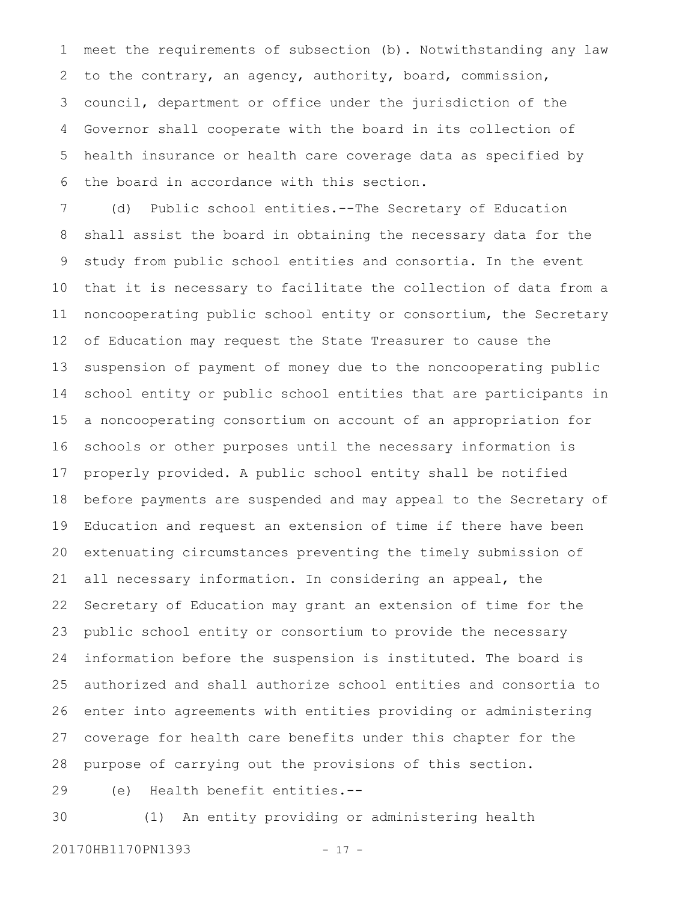meet the requirements of subsection (b). Notwithstanding any law to the contrary, an agency, authority, board, commission, council, department or office under the jurisdiction of the Governor shall cooperate with the board in its collection of health insurance or health care coverage data as specified by the board in accordance with this section. 1 2 3 4 5 6

(d) Public school entities.--The Secretary of Education shall assist the board in obtaining the necessary data for the study from public school entities and consortia. In the event that it is necessary to facilitate the collection of data from a noncooperating public school entity or consortium, the Secretary of Education may request the State Treasurer to cause the suspension of payment of money due to the noncooperating public school entity or public school entities that are participants in a noncooperating consortium on account of an appropriation for schools or other purposes until the necessary information is properly provided. A public school entity shall be notified before payments are suspended and may appeal to the Secretary of Education and request an extension of time if there have been extenuating circumstances preventing the timely submission of all necessary information. In considering an appeal, the Secretary of Education may grant an extension of time for the public school entity or consortium to provide the necessary information before the suspension is instituted. The board is authorized and shall authorize school entities and consortia to enter into agreements with entities providing or administering coverage for health care benefits under this chapter for the purpose of carrying out the provisions of this section. 7 8 9 10 11 12 13 14 15 16 17 18 19 20 21 22 23 24 25 26 27 28

29 30

(1) An entity providing or administering health

(e) Health benefit entities.--

20170HB1170PN1393 - 17 -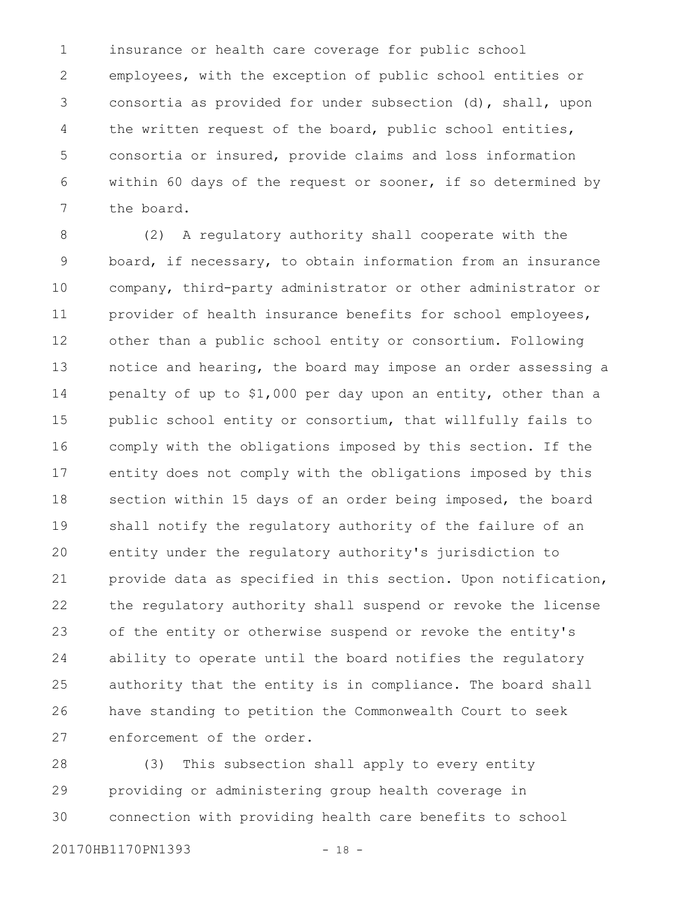insurance or health care coverage for public school employees, with the exception of public school entities or consortia as provided for under subsection (d), shall, upon the written request of the board, public school entities, consortia or insured, provide claims and loss information within 60 days of the request or sooner, if so determined by the board. 1 2 3 4 5 6 7

(2) A regulatory authority shall cooperate with the board, if necessary, to obtain information from an insurance company, third-party administrator or other administrator or provider of health insurance benefits for school employees, other than a public school entity or consortium. Following notice and hearing, the board may impose an order assessing a penalty of up to \$1,000 per day upon an entity, other than a public school entity or consortium, that willfully fails to comply with the obligations imposed by this section. If the entity does not comply with the obligations imposed by this section within 15 days of an order being imposed, the board shall notify the regulatory authority of the failure of an entity under the regulatory authority's jurisdiction to provide data as specified in this section. Upon notification, the regulatory authority shall suspend or revoke the license of the entity or otherwise suspend or revoke the entity's ability to operate until the board notifies the regulatory authority that the entity is in compliance. The board shall have standing to petition the Commonwealth Court to seek enforcement of the order. 8 9 10 11 12 13 14 15 16 17 18 19 20 21 22 23 24 25 26 27

(3) This subsection shall apply to every entity providing or administering group health coverage in connection with providing health care benefits to school 28 29 30

```
20170HB1170PN1393 - 18 -
```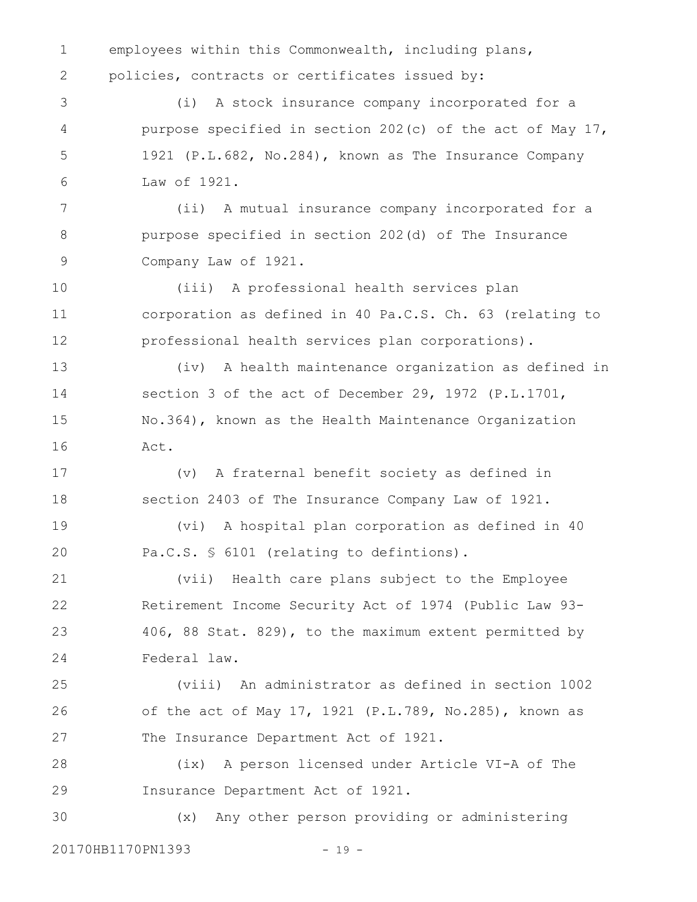employees within this Commonwealth, including plans, policies, contracts or certificates issued by: (i) A stock insurance company incorporated for a purpose specified in section 202(c) of the act of May 17, 1921 (P.L.682, No.284), known as The Insurance Company Law of 1921. (ii) A mutual insurance company incorporated for a purpose specified in section 202(d) of The Insurance Company Law of 1921. (iii) A professional health services plan corporation as defined in 40 Pa.C.S. Ch. 63 (relating to professional health services plan corporations). (iv) A health maintenance organization as defined in section 3 of the act of December 29, 1972 (P.L.1701, No.364), known as the Health Maintenance Organization Act. (v) A fraternal benefit society as defined in section 2403 of The Insurance Company Law of 1921. (vi) A hospital plan corporation as defined in 40 Pa.C.S. § 6101 (relating to defintions). (vii) Health care plans subject to the Employee Retirement Income Security Act of 1974 (Public Law 93- 406, 88 Stat. 829), to the maximum extent permitted by Federal law. (viii) An administrator as defined in section 1002 of the act of May 17, 1921 (P.L.789, No.285), known as The Insurance Department Act of 1921. (ix) A person licensed under Article VI-A of The Insurance Department Act of 1921. (x) Any other person providing or administering 1 2 3 4 5 6 7 8 9 10 11 12 13 14 15 16 17 18 19 20 21 22 23 24 25 26 27 28 29 30

20170HB1170PN1393 - 19 -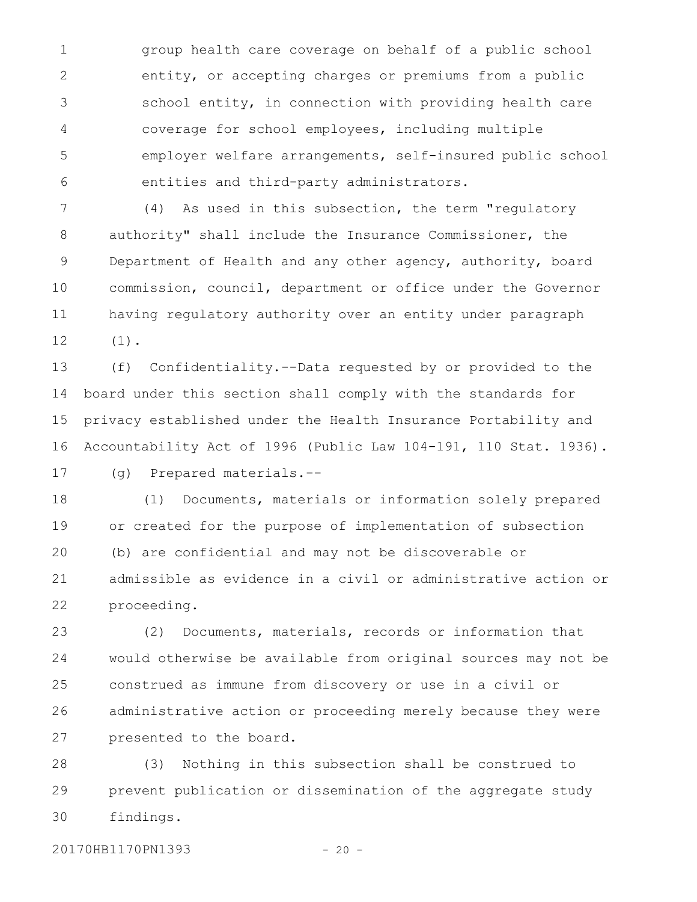group health care coverage on behalf of a public school entity, or accepting charges or premiums from a public school entity, in connection with providing health care coverage for school employees, including multiple employer welfare arrangements, self-insured public school entities and third-party administrators. 1 2 3 4 5 6

(4) As used in this subsection, the term "regulatory authority" shall include the Insurance Commissioner, the Department of Health and any other agency, authority, board commission, council, department or office under the Governor having regulatory authority over an entity under paragraph (1). 7 8 9 10 11 12

(f) Confidentiality.--Data requested by or provided to the board under this section shall comply with the standards for privacy established under the Health Insurance Portability and Accountability Act of 1996 (Public Law 104-191, 110 Stat. 1936). 13 14 15 16

17

(g) Prepared materials.--

(1) Documents, materials or information solely prepared or created for the purpose of implementation of subsection (b) are confidential and may not be discoverable or admissible as evidence in a civil or administrative action or proceeding. 18 19 20 21 22

(2) Documents, materials, records or information that would otherwise be available from original sources may not be construed as immune from discovery or use in a civil or administrative action or proceeding merely because they were presented to the board. 23 24 25 26 27

(3) Nothing in this subsection shall be construed to prevent publication or dissemination of the aggregate study findings. 28 29 30

20170HB1170PN1393 - 20 -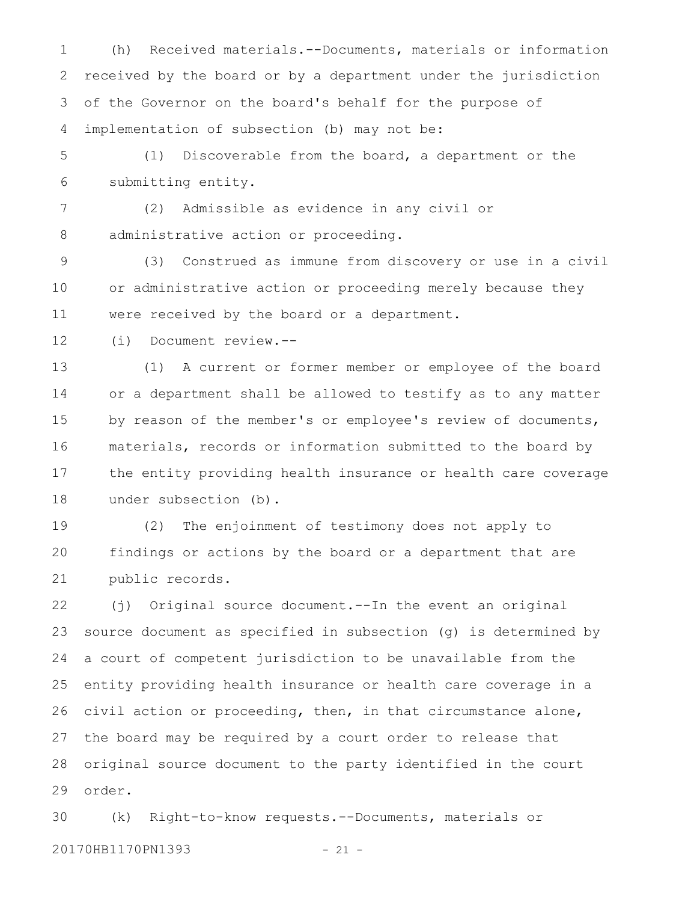(h) Received materials.--Documents, materials or information received by the board or by a department under the jurisdiction of the Governor on the board's behalf for the purpose of implementation of subsection (b) may not be: 1 2 3 4

(1) Discoverable from the board, a department or the submitting entity. 5 6

(2) Admissible as evidence in any civil or administrative action or proceeding. 7 8

(3) Construed as immune from discovery or use in a civil or administrative action or proceeding merely because they were received by the board or a department. 9 10 11

(i) Document review.-- 12

(1) A current or former member or employee of the board or a department shall be allowed to testify as to any matter by reason of the member's or employee's review of documents, materials, records or information submitted to the board by the entity providing health insurance or health care coverage under subsection (b). 13 14 15 16 17 18

(2) The enjoinment of testimony does not apply to findings or actions by the board or a department that are public records. 19 20 21

(j) Original source document.--In the event an original source document as specified in subsection (g) is determined by a court of competent jurisdiction to be unavailable from the entity providing health insurance or health care coverage in a civil action or proceeding, then, in that circumstance alone, the board may be required by a court order to release that original source document to the party identified in the court order. 22 23 24 25 26 27 28 29

(k) Right-to-know requests.--Documents, materials or 20170HB1170PN1393 - 21 -30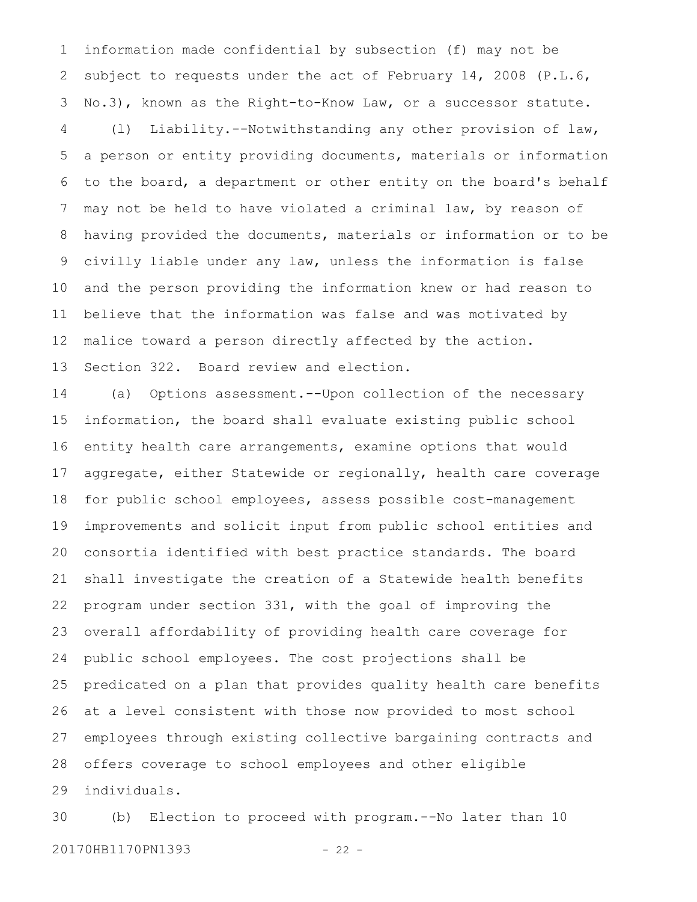information made confidential by subsection (f) may not be subject to requests under the act of February 14, 2008 (P.L.6, No.3), known as the Right-to-Know Law, or a successor statute. (l) Liability.--Notwithstanding any other provision of law, a person or entity providing documents, materials or information to the board, a department or other entity on the board's behalf may not be held to have violated a criminal law, by reason of having provided the documents, materials or information or to be civilly liable under any law, unless the information is false and the person providing the information knew or had reason to believe that the information was false and was motivated by malice toward a person directly affected by the action. Section 322. Board review and election. 1 2 3 4 5 6 7 8 9 10 11 12 13

(a) Options assessment.--Upon collection of the necessary information, the board shall evaluate existing public school entity health care arrangements, examine options that would aggregate, either Statewide or regionally, health care coverage for public school employees, assess possible cost-management improvements and solicit input from public school entities and consortia identified with best practice standards. The board shall investigate the creation of a Statewide health benefits program under section 331, with the goal of improving the overall affordability of providing health care coverage for public school employees. The cost projections shall be predicated on a plan that provides quality health care benefits at a level consistent with those now provided to most school employees through existing collective bargaining contracts and offers coverage to school employees and other eligible individuals. 14 15 16 17 18 19 20 21 22 23 24 25 26 27 28 29

(b) Election to proceed with program.--No later than 10 20170HB1170PN1393 - 22 -30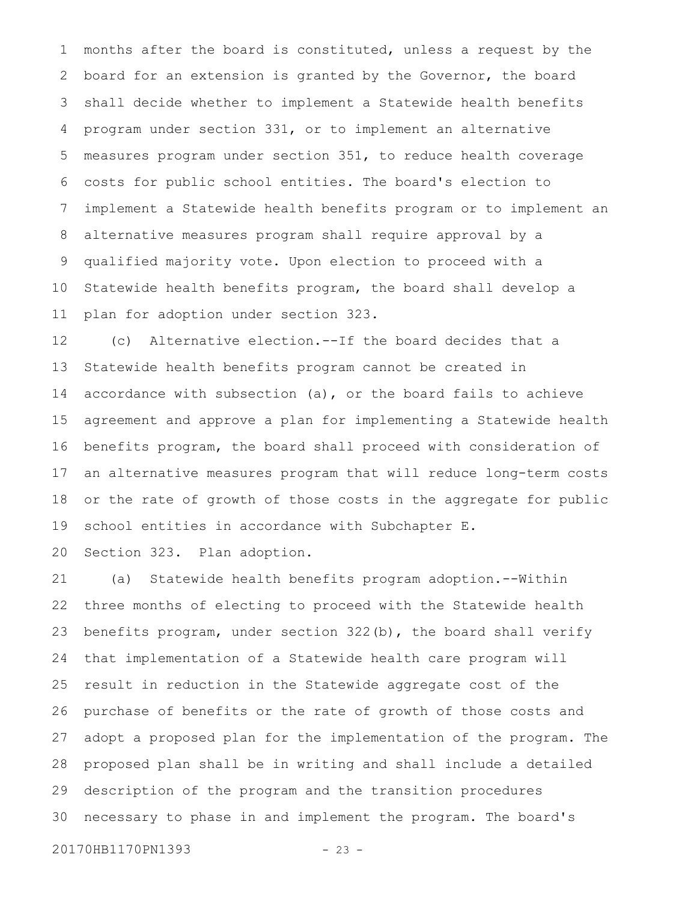months after the board is constituted, unless a request by the board for an extension is granted by the Governor, the board shall decide whether to implement a Statewide health benefits program under section 331, or to implement an alternative measures program under section 351, to reduce health coverage costs for public school entities. The board's election to implement a Statewide health benefits program or to implement an alternative measures program shall require approval by a qualified majority vote. Upon election to proceed with a Statewide health benefits program, the board shall develop a plan for adoption under section 323. 1 2 3 4 5 6 7 8 9 10 11

(c) Alternative election.--If the board decides that a Statewide health benefits program cannot be created in accordance with subsection (a), or the board fails to achieve agreement and approve a plan for implementing a Statewide health benefits program, the board shall proceed with consideration of an alternative measures program that will reduce long-term costs or the rate of growth of those costs in the aggregate for public school entities in accordance with Subchapter E. 12 13 14 15 16 17 18 19

Section 323. Plan adoption. 20

(a) Statewide health benefits program adoption.--Within three months of electing to proceed with the Statewide health benefits program, under section 322(b), the board shall verify that implementation of a Statewide health care program will result in reduction in the Statewide aggregate cost of the purchase of benefits or the rate of growth of those costs and adopt a proposed plan for the implementation of the program. The proposed plan shall be in writing and shall include a detailed description of the program and the transition procedures necessary to phase in and implement the program. The board's 21 22 23 24 25 26 27 28 29 30

20170HB1170PN1393 - 23 -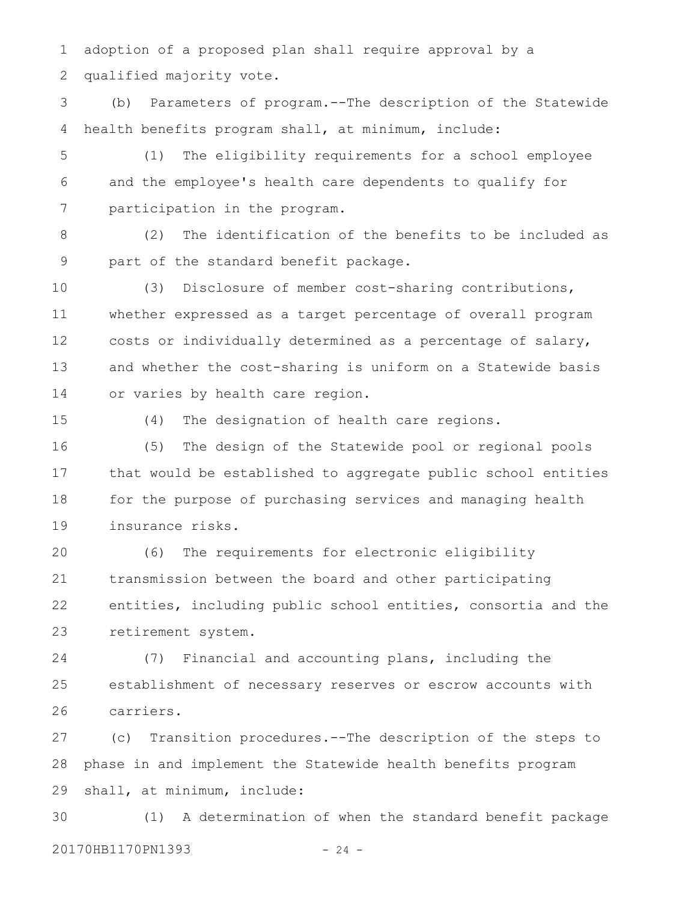adoption of a proposed plan shall require approval by a qualified majority vote. 1 2

(b) Parameters of program.--The description of the Statewide health benefits program shall, at minimum, include: 3 4

(1) The eligibility requirements for a school employee and the employee's health care dependents to qualify for participation in the program. 5 6 7

(2) The identification of the benefits to be included as part of the standard benefit package. 8 9

(3) Disclosure of member cost-sharing contributions, whether expressed as a target percentage of overall program costs or individually determined as a percentage of salary, and whether the cost-sharing is uniform on a Statewide basis or varies by health care region. 10 11 12 13 14

15

(4) The designation of health care regions.

(5) The design of the Statewide pool or regional pools that would be established to aggregate public school entities for the purpose of purchasing services and managing health insurance risks. 16 17 18 19

(6) The requirements for electronic eligibility transmission between the board and other participating entities, including public school entities, consortia and the retirement system. 20 21 22 23

(7) Financial and accounting plans, including the establishment of necessary reserves or escrow accounts with carriers. 24 25 26

(c) Transition procedures.--The description of the steps to phase in and implement the Statewide health benefits program shall, at minimum, include: 27 28 29

(1) A determination of when the standard benefit package 20170HB1170PN1393 - 24 -30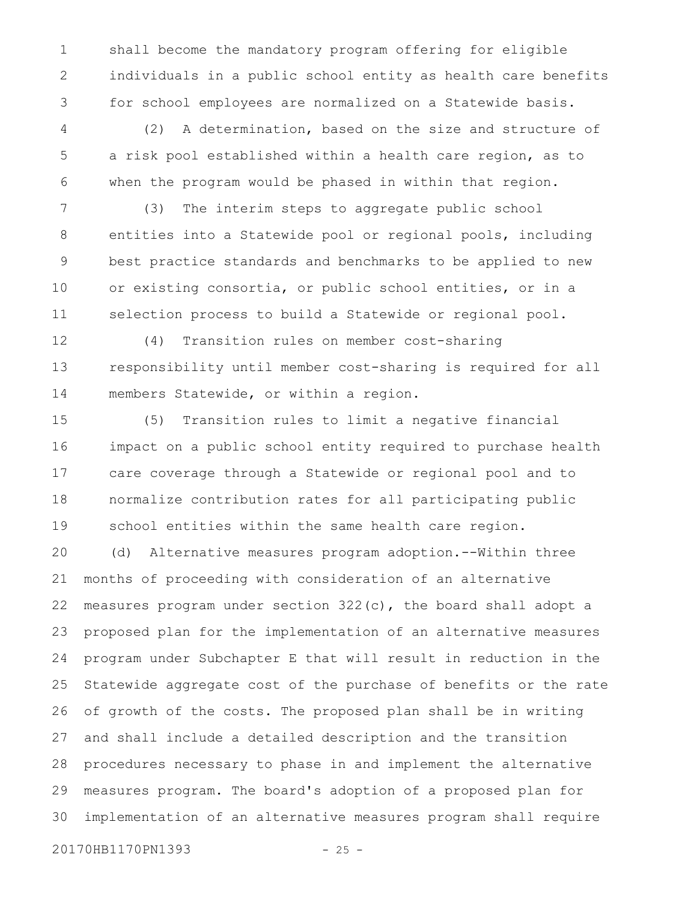shall become the mandatory program offering for eligible individuals in a public school entity as health care benefits for school employees are normalized on a Statewide basis. 1 2 3

(2) A determination, based on the size and structure of a risk pool established within a health care region, as to when the program would be phased in within that region. 4 5 6

(3) The interim steps to aggregate public school entities into a Statewide pool or regional pools, including best practice standards and benchmarks to be applied to new or existing consortia, or public school entities, or in a selection process to build a Statewide or regional pool. 7 8 9 10 11

(4) Transition rules on member cost-sharing responsibility until member cost-sharing is required for all members Statewide, or within a region. 12 13 14

(5) Transition rules to limit a negative financial impact on a public school entity required to purchase health care coverage through a Statewide or regional pool and to normalize contribution rates for all participating public school entities within the same health care region. (d) Alternative measures program adoption.--Within three months of proceeding with consideration of an alternative measures program under section 322(c), the board shall adopt a proposed plan for the implementation of an alternative measures program under Subchapter E that will result in reduction in the Statewide aggregate cost of the purchase of benefits or the rate of growth of the costs. The proposed plan shall be in writing 15 16 17 18 19 20 21 22 23 24 25 26

and shall include a detailed description and the transition procedures necessary to phase in and implement the alternative measures program. The board's adoption of a proposed plan for implementation of an alternative measures program shall require 27 28 29 30

20170HB1170PN1393 - 25 -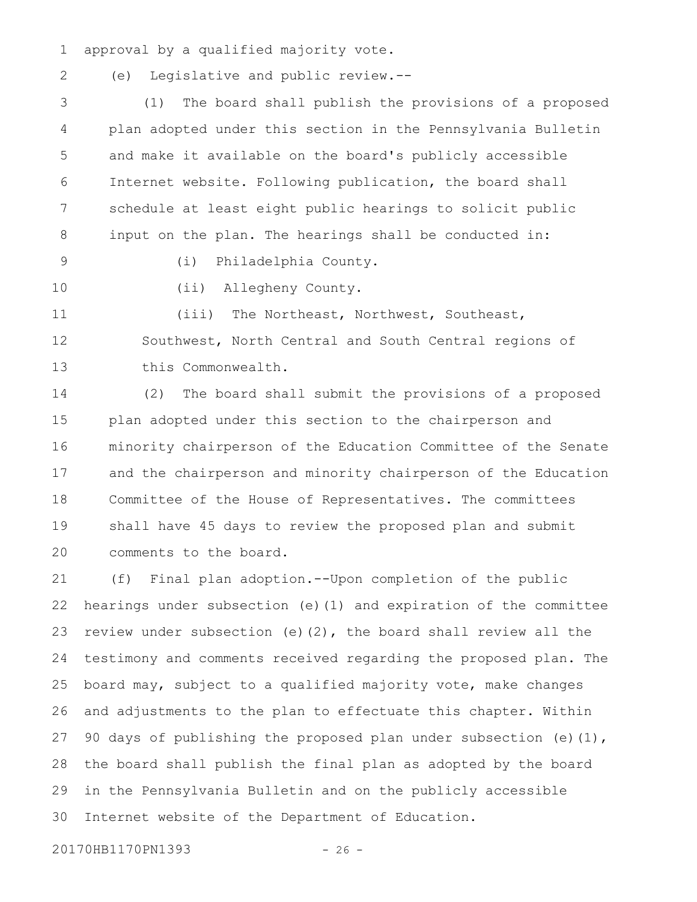approval by a qualified majority vote. 1

2

(e) Legislative and public review.--

(1) The board shall publish the provisions of a proposed plan adopted under this section in the Pennsylvania Bulletin and make it available on the board's publicly accessible Internet website. Following publication, the board shall schedule at least eight public hearings to solicit public input on the plan. The hearings shall be conducted in: 3 4 5 6 7 8

(i) Philadelphia County.

10

9

(ii) Allegheny County.

(iii) The Northeast, Northwest, Southeast, Southwest, North Central and South Central regions of this Commonwealth. 11 12 13

(2) The board shall submit the provisions of a proposed plan adopted under this section to the chairperson and minority chairperson of the Education Committee of the Senate and the chairperson and minority chairperson of the Education Committee of the House of Representatives. The committees shall have 45 days to review the proposed plan and submit comments to the board. 14 15 16 17 18 19 20

(f) Final plan adoption.--Upon completion of the public hearings under subsection (e)(1) and expiration of the committee review under subsection (e)(2), the board shall review all the testimony and comments received regarding the proposed plan. The board may, subject to a qualified majority vote, make changes and adjustments to the plan to effectuate this chapter. Within 90 days of publishing the proposed plan under subsection (e)(1), the board shall publish the final plan as adopted by the board in the Pennsylvania Bulletin and on the publicly accessible Internet website of the Department of Education. 21 22 23 24 25 26 27 28 29 30

20170HB1170PN1393 - 26 -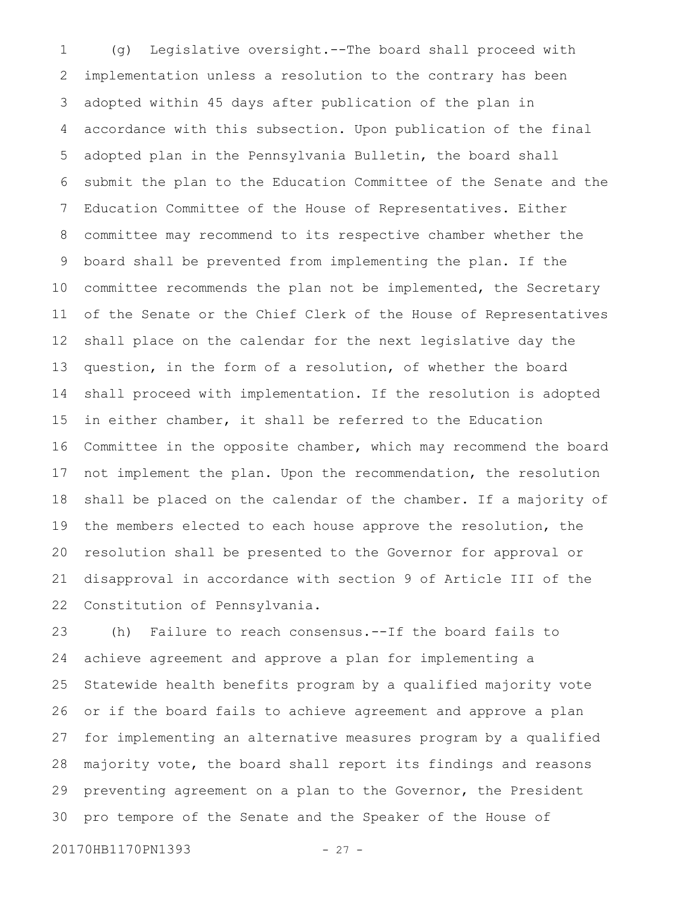(g) Legislative oversight.--The board shall proceed with implementation unless a resolution to the contrary has been adopted within 45 days after publication of the plan in accordance with this subsection. Upon publication of the final adopted plan in the Pennsylvania Bulletin, the board shall submit the plan to the Education Committee of the Senate and the Education Committee of the House of Representatives. Either committee may recommend to its respective chamber whether the board shall be prevented from implementing the plan. If the committee recommends the plan not be implemented, the Secretary of the Senate or the Chief Clerk of the House of Representatives shall place on the calendar for the next legislative day the question, in the form of a resolution, of whether the board shall proceed with implementation. If the resolution is adopted in either chamber, it shall be referred to the Education Committee in the opposite chamber, which may recommend the board not implement the plan. Upon the recommendation, the resolution shall be placed on the calendar of the chamber. If a majority of the members elected to each house approve the resolution, the resolution shall be presented to the Governor for approval or disapproval in accordance with section 9 of Article III of the Constitution of Pennsylvania. 1 2 3 4 5 6 7 8 9 10 11 12 13 14 15 16 17 18 19 20 21 22

(h) Failure to reach consensus.--If the board fails to achieve agreement and approve a plan for implementing a Statewide health benefits program by a qualified majority vote or if the board fails to achieve agreement and approve a plan for implementing an alternative measures program by a qualified majority vote, the board shall report its findings and reasons preventing agreement on a plan to the Governor, the President pro tempore of the Senate and the Speaker of the House of 23 24 25 26 27 28 29 30

20170HB1170PN1393 - 27 -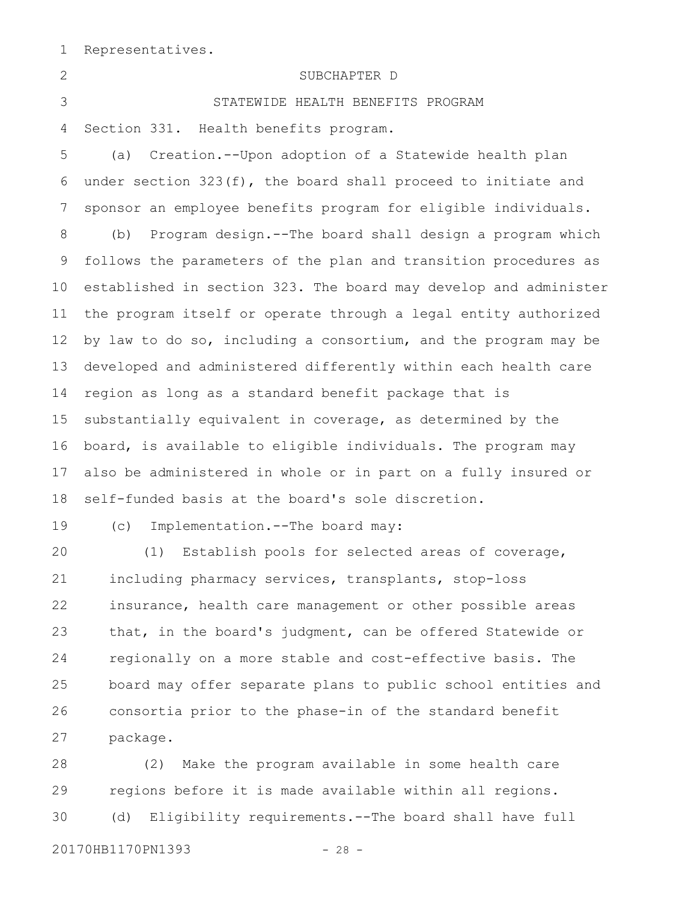Representatives. 1

SUBCHAPTER D STATEWIDE HEALTH BENEFITS PROGRAM Section 331. Health benefits program. (a) Creation.--Upon adoption of a Statewide health plan under section 323(f), the board shall proceed to initiate and sponsor an employee benefits program for eligible individuals. (b) Program design.--The board shall design a program which follows the parameters of the plan and transition procedures as established in section 323. The board may develop and administer the program itself or operate through a legal entity authorized by law to do so, including a consortium, and the program may be developed and administered differently within each health care region as long as a standard benefit package that is substantially equivalent in coverage, as determined by the board, is available to eligible individuals. The program may also be administered in whole or in part on a fully insured or self-funded basis at the board's sole discretion. (c) Implementation.--The board may: (1) Establish pools for selected areas of coverage, 2 3 4 5 6 7 8 9 10 11 12 13 14 15 16 17 18 19 20

including pharmacy services, transplants, stop-loss insurance, health care management or other possible areas that, in the board's judgment, can be offered Statewide or regionally on a more stable and cost-effective basis. The board may offer separate plans to public school entities and consortia prior to the phase-in of the standard benefit package. 21 22 23 24 25 26 27

(2) Make the program available in some health care regions before it is made available within all regions. (d) Eligibility requirements.--The board shall have full 28 29 30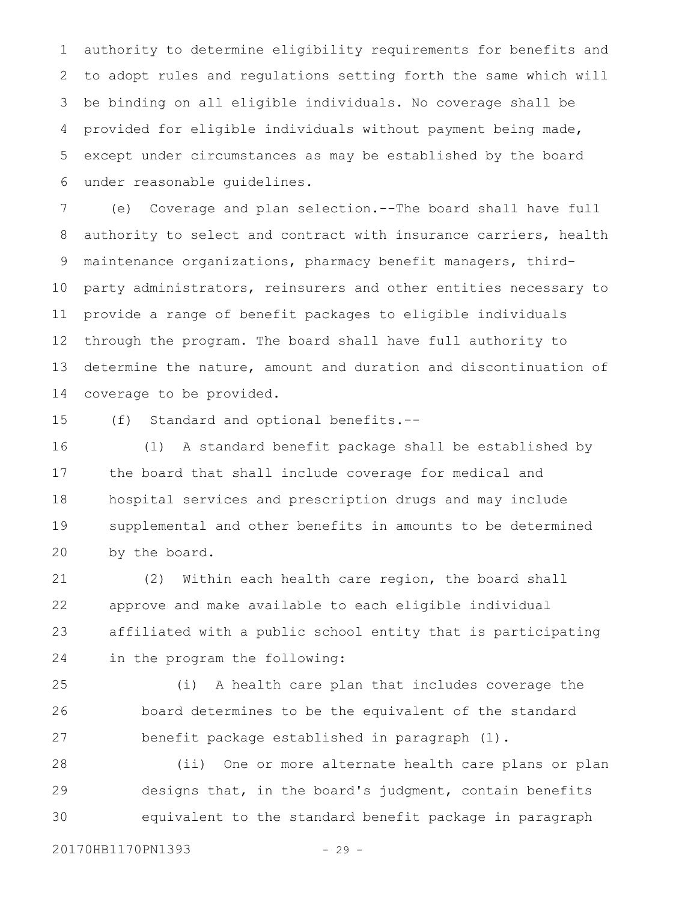authority to determine eligibility requirements for benefits and to adopt rules and regulations setting forth the same which will be binding on all eligible individuals. No coverage shall be provided for eligible individuals without payment being made, except under circumstances as may be established by the board under reasonable guidelines. 1 2 3 4 5 6

(e) Coverage and plan selection.--The board shall have full authority to select and contract with insurance carriers, health maintenance organizations, pharmacy benefit managers, thirdparty administrators, reinsurers and other entities necessary to provide a range of benefit packages to eligible individuals through the program. The board shall have full authority to determine the nature, amount and duration and discontinuation of coverage to be provided. 7 8 9 10 11 12 13 14

15

(f) Standard and optional benefits.--

(1) A standard benefit package shall be established by the board that shall include coverage for medical and hospital services and prescription drugs and may include supplemental and other benefits in amounts to be determined by the board. 16 17 18 19 20

(2) Within each health care region, the board shall approve and make available to each eligible individual affiliated with a public school entity that is participating in the program the following: 21 22 23 24

(i) A health care plan that includes coverage the board determines to be the equivalent of the standard benefit package established in paragraph (1). 25 26 27

(ii) One or more alternate health care plans or plan designs that, in the board's judgment, contain benefits equivalent to the standard benefit package in paragraph 28 29 30

20170HB1170PN1393 - 29 -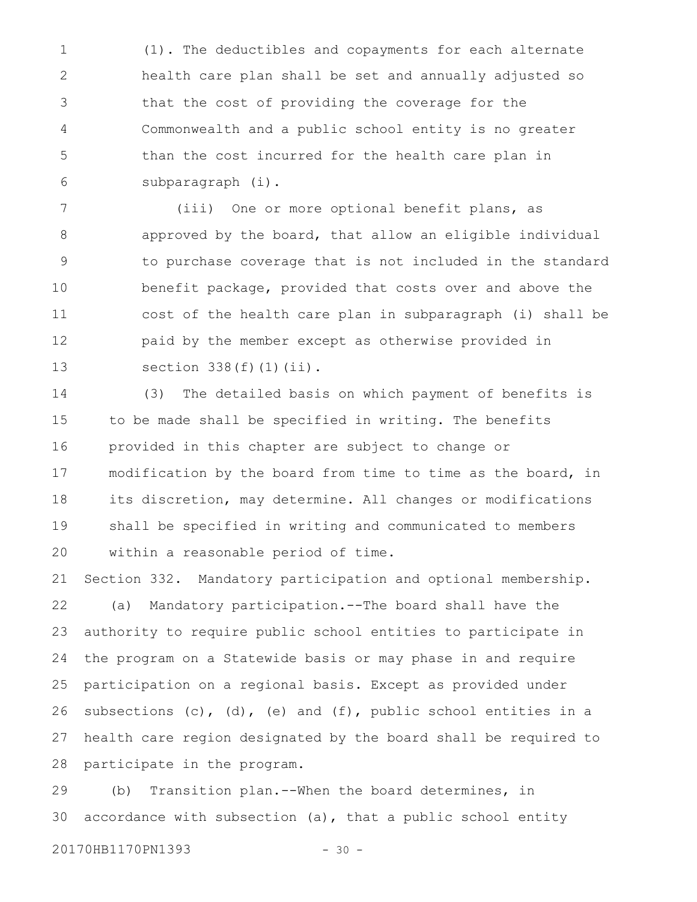(1). The deductibles and copayments for each alternate health care plan shall be set and annually adjusted so that the cost of providing the coverage for the Commonwealth and a public school entity is no greater than the cost incurred for the health care plan in subparagraph (i). 1 2 3 4 5 6

(iii) One or more optional benefit plans, as approved by the board, that allow an eligible individual to purchase coverage that is not included in the standard benefit package, provided that costs over and above the cost of the health care plan in subparagraph (i) shall be paid by the member except as otherwise provided in section  $338(f)(1)(ii)$ . 7 8 9 10 11 12 13

(3) The detailed basis on which payment of benefits is to be made shall be specified in writing. The benefits provided in this chapter are subject to change or modification by the board from time to time as the board, in its discretion, may determine. All changes or modifications shall be specified in writing and communicated to members within a reasonable period of time. 14 15 16 17 18 19 20

Section 332. Mandatory participation and optional membership. (a) Mandatory participation.--The board shall have the authority to require public school entities to participate in the program on a Statewide basis or may phase in and require participation on a regional basis. Except as provided under subsections  $(c)$ ,  $(d)$ ,  $(e)$  and  $(f)$ , public school entities in a health care region designated by the board shall be required to participate in the program. 21 22 23 24 25 26 27 28

(b) Transition plan.--When the board determines, in accordance with subsection (a), that a public school entity 29 30

20170HB1170PN1393 - 30 -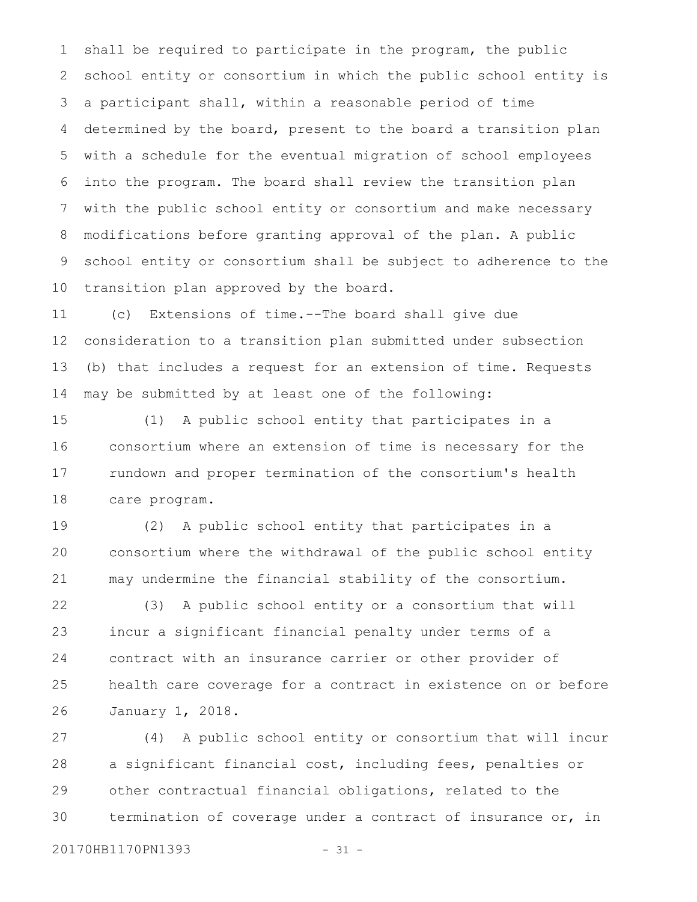shall be required to participate in the program, the public school entity or consortium in which the public school entity is a participant shall, within a reasonable period of time determined by the board, present to the board a transition plan with a schedule for the eventual migration of school employees into the program. The board shall review the transition plan with the public school entity or consortium and make necessary modifications before granting approval of the plan. A public school entity or consortium shall be subject to adherence to the transition plan approved by the board. 1 2 3 4 5 6 7 8 9 10

(c) Extensions of time.--The board shall give due consideration to a transition plan submitted under subsection (b) that includes a request for an extension of time. Requests may be submitted by at least one of the following: 11 12 13 14

(1) A public school entity that participates in a consortium where an extension of time is necessary for the rundown and proper termination of the consortium's health care program. 15 16 17 18

(2) A public school entity that participates in a consortium where the withdrawal of the public school entity may undermine the financial stability of the consortium. 19 20 21

(3) A public school entity or a consortium that will incur a significant financial penalty under terms of a contract with an insurance carrier or other provider of health care coverage for a contract in existence on or before January 1, 2018. 22 23 24 25 26

(4) A public school entity or consortium that will incur a significant financial cost, including fees, penalties or other contractual financial obligations, related to the termination of coverage under a contract of insurance or, in 27 28 29 30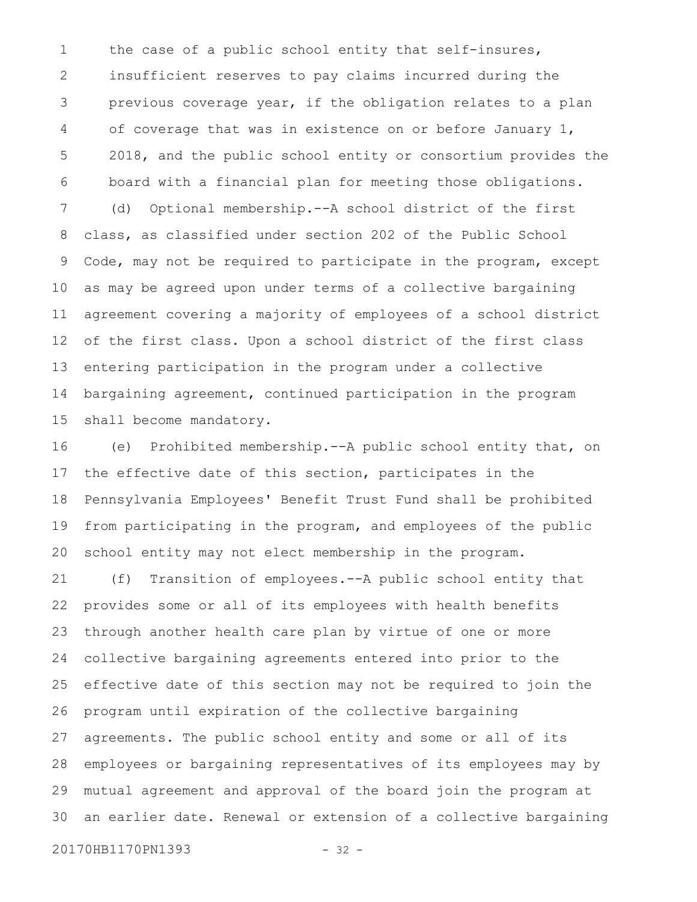the case of a public school entity that self-insures, insufficient reserves to pay claims incurred during the previous coverage year, if the obligation relates to a plan of coverage that was in existence on or before January 1, 2018, and the public school entity or consortium provides the board with a financial plan for meeting those obligations. (d) Optional membership.--A school district of the first class, as classified under section 202 of the Public School Code, may not be required to participate in the program, except as may be agreed upon under terms of a collective bargaining agreement covering a majority of employees of a school district of the first class. Upon a school district of the first class entering participation in the program under a collective bargaining agreement, continued participation in the program shall become mandatory. 1 2 3 4 5 6 7 8 9 10 11 12 13 14 15

(e) Prohibited membership.--A public school entity that, on the effective date of this section, participates in the Pennsylvania Employees' Benefit Trust Fund shall be prohibited from participating in the program, and employees of the public school entity may not elect membership in the program. 16 17 18 19 20

(f) Transition of employees.--A public school entity that provides some or all of its employees with health benefits through another health care plan by virtue of one or more collective bargaining agreements entered into prior to the effective date of this section may not be required to join the program until expiration of the collective bargaining agreements. The public school entity and some or all of its employees or bargaining representatives of its employees may by mutual agreement and approval of the board join the program at an earlier date. Renewal or extension of a collective bargaining 21 22 23 24 25 26 27 28 29 30

20170HB1170PN1393 - 32 -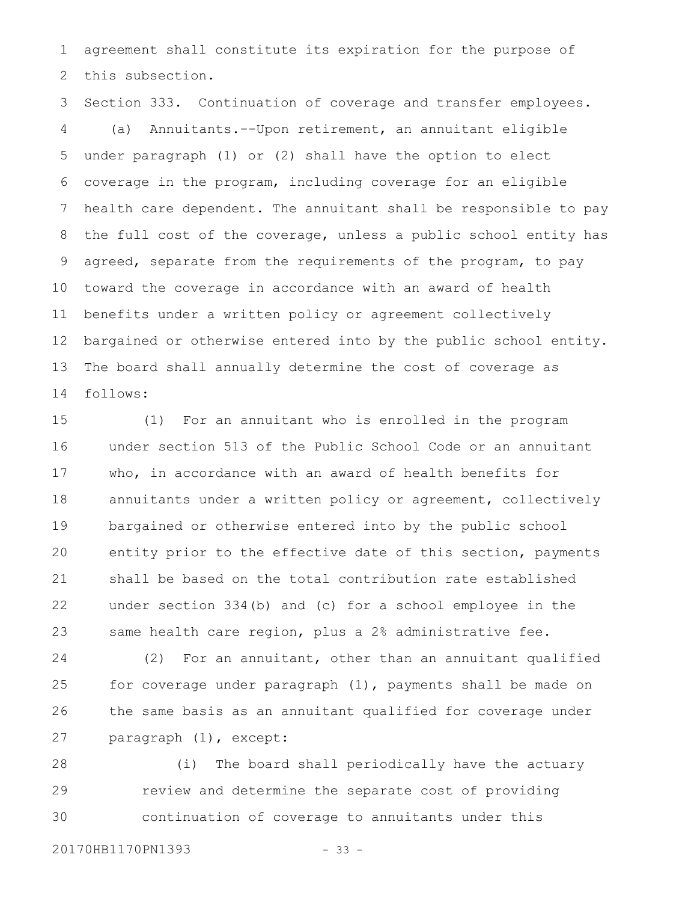agreement shall constitute its expiration for the purpose of this subsection. 1 2

Section 333. Continuation of coverage and transfer employees. (a) Annuitants.--Upon retirement, an annuitant eligible under paragraph (1) or (2) shall have the option to elect coverage in the program, including coverage for an eligible health care dependent. The annuitant shall be responsible to pay the full cost of the coverage, unless a public school entity has agreed, separate from the requirements of the program, to pay toward the coverage in accordance with an award of health benefits under a written policy or agreement collectively bargained or otherwise entered into by the public school entity. The board shall annually determine the cost of coverage as follows: 3 4 5 6 7 8 9 10 11 12 13 14

(1) For an annuitant who is enrolled in the program under section 513 of the Public School Code or an annuitant who, in accordance with an award of health benefits for annuitants under a written policy or agreement, collectively bargained or otherwise entered into by the public school entity prior to the effective date of this section, payments shall be based on the total contribution rate established under section 334(b) and (c) for a school employee in the same health care region, plus a 2% administrative fee. 15 16 17 18 19 20 21 22 23

(2) For an annuitant, other than an annuitant qualified for coverage under paragraph (1), payments shall be made on the same basis as an annuitant qualified for coverage under paragraph (1), except: 24 25 26 27

(i) The board shall periodically have the actuary review and determine the separate cost of providing continuation of coverage to annuitants under this 28 29 30

20170HB1170PN1393 - 33 -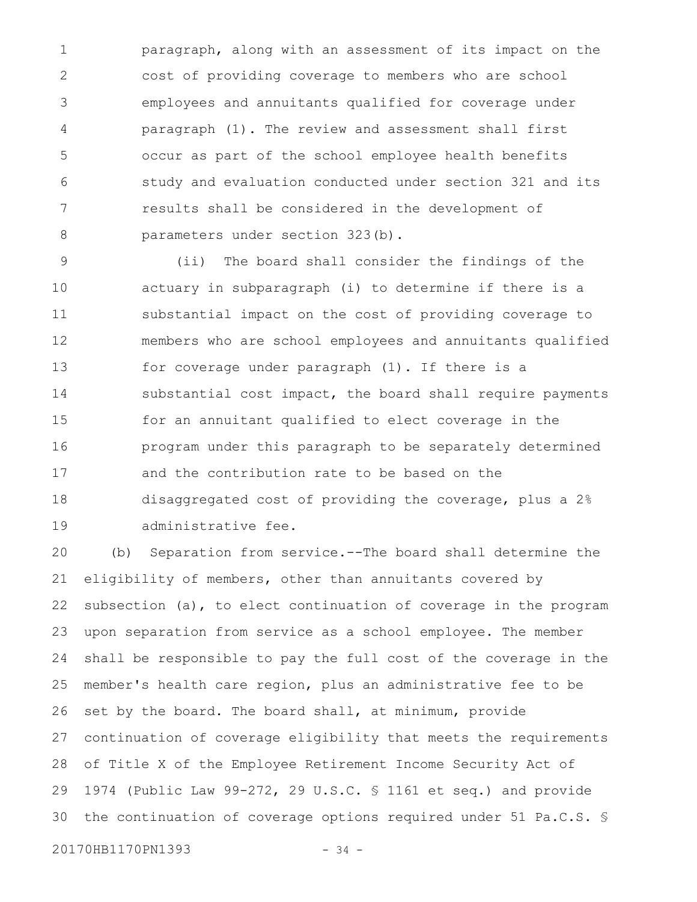paragraph, along with an assessment of its impact on the cost of providing coverage to members who are school employees and annuitants qualified for coverage under paragraph (1). The review and assessment shall first occur as part of the school employee health benefits study and evaluation conducted under section 321 and its results shall be considered in the development of parameters under section 323(b). 1 2 3 4 5 6 7 8

(ii) The board shall consider the findings of the actuary in subparagraph (i) to determine if there is a substantial impact on the cost of providing coverage to members who are school employees and annuitants qualified for coverage under paragraph (1). If there is a substantial cost impact, the board shall require payments for an annuitant qualified to elect coverage in the program under this paragraph to be separately determined and the contribution rate to be based on the disaggregated cost of providing the coverage, plus a 2% administrative fee. 9 10 11 12 13 14 15 16 17 18 19

(b) Separation from service.--The board shall determine the eligibility of members, other than annuitants covered by subsection (a), to elect continuation of coverage in the program upon separation from service as a school employee. The member shall be responsible to pay the full cost of the coverage in the member's health care region, plus an administrative fee to be set by the board. The board shall, at minimum, provide continuation of coverage eligibility that meets the requirements of Title X of the Employee Retirement Income Security Act of 1974 (Public Law 99-272, 29 U.S.C. § 1161 et seq.) and provide the continuation of coverage options required under 51 Pa.C.S. § 20 21 22 23 24 25 26 27 28 29 30

20170HB1170PN1393 - 34 -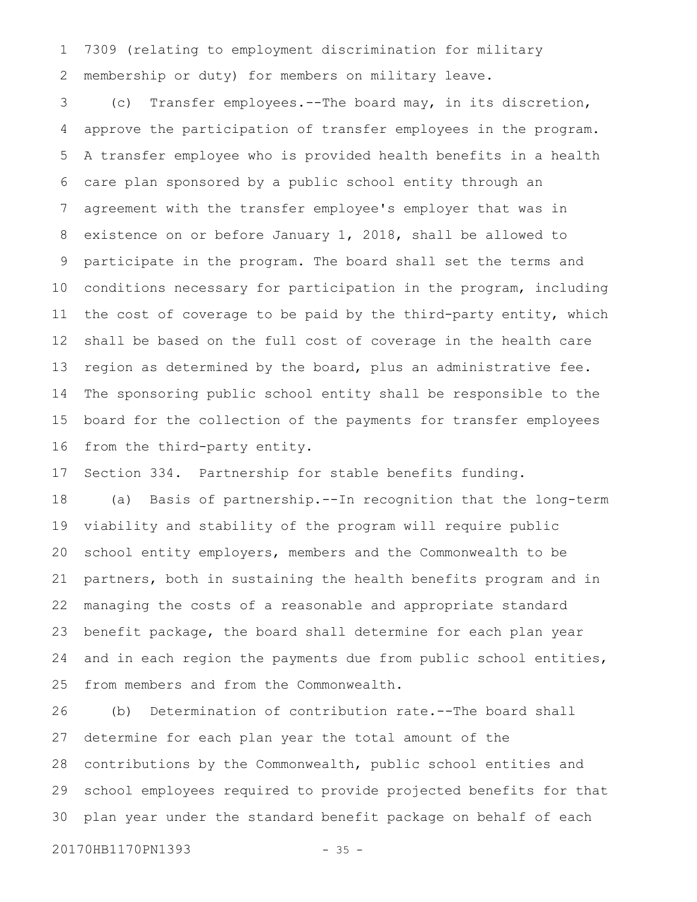7309 (relating to employment discrimination for military membership or duty) for members on military leave. 1 2

(c) Transfer employees.--The board may, in its discretion, approve the participation of transfer employees in the program. A transfer employee who is provided health benefits in a health care plan sponsored by a public school entity through an agreement with the transfer employee's employer that was in existence on or before January 1, 2018, shall be allowed to participate in the program. The board shall set the terms and conditions necessary for participation in the program, including the cost of coverage to be paid by the third-party entity, which shall be based on the full cost of coverage in the health care region as determined by the board, plus an administrative fee. The sponsoring public school entity shall be responsible to the board for the collection of the payments for transfer employees from the third-party entity. 3 4 5 6 7 8 9 10 11 12 13 14 15 16

Section 334. Partnership for stable benefits funding. 17

(a) Basis of partnership.--In recognition that the long-term viability and stability of the program will require public school entity employers, members and the Commonwealth to be partners, both in sustaining the health benefits program and in managing the costs of a reasonable and appropriate standard benefit package, the board shall determine for each plan year and in each region the payments due from public school entities, from members and from the Commonwealth. 18 19 20 21 22 23 24 25

(b) Determination of contribution rate.--The board shall determine for each plan year the total amount of the contributions by the Commonwealth, public school entities and school employees required to provide projected benefits for that plan year under the standard benefit package on behalf of each 26 27 28 29 30

20170HB1170PN1393 - 35 -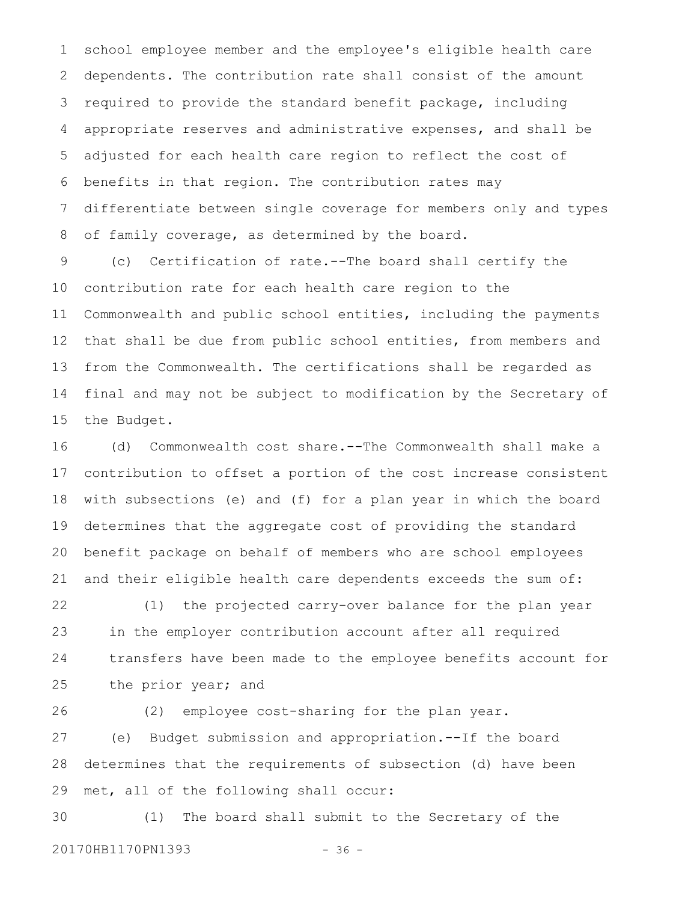school employee member and the employee's eligible health care dependents. The contribution rate shall consist of the amount required to provide the standard benefit package, including appropriate reserves and administrative expenses, and shall be adjusted for each health care region to reflect the cost of benefits in that region. The contribution rates may differentiate between single coverage for members only and types of family coverage, as determined by the board. 1 2 3 4 5 6 7 8

(c) Certification of rate.--The board shall certify the contribution rate for each health care region to the Commonwealth and public school entities, including the payments that shall be due from public school entities, from members and from the Commonwealth. The certifications shall be regarded as final and may not be subject to modification by the Secretary of the Budget. 9 10 11 12 13 14 15

(d) Commonwealth cost share.--The Commonwealth shall make a contribution to offset a portion of the cost increase consistent with subsections (e) and (f) for a plan year in which the board determines that the aggregate cost of providing the standard benefit package on behalf of members who are school employees and their eligible health care dependents exceeds the sum of: 16 17 18 19 20 21

(1) the projected carry-over balance for the plan year in the employer contribution account after all required transfers have been made to the employee benefits account for the prior year; and 22 23 24 25

26

(2) employee cost-sharing for the plan year.

(e) Budget submission and appropriation.--If the board determines that the requirements of subsection (d) have been met, all of the following shall occur: 27 28 29

(1) The board shall submit to the Secretary of the 20170HB1170PN1393 - 36 -30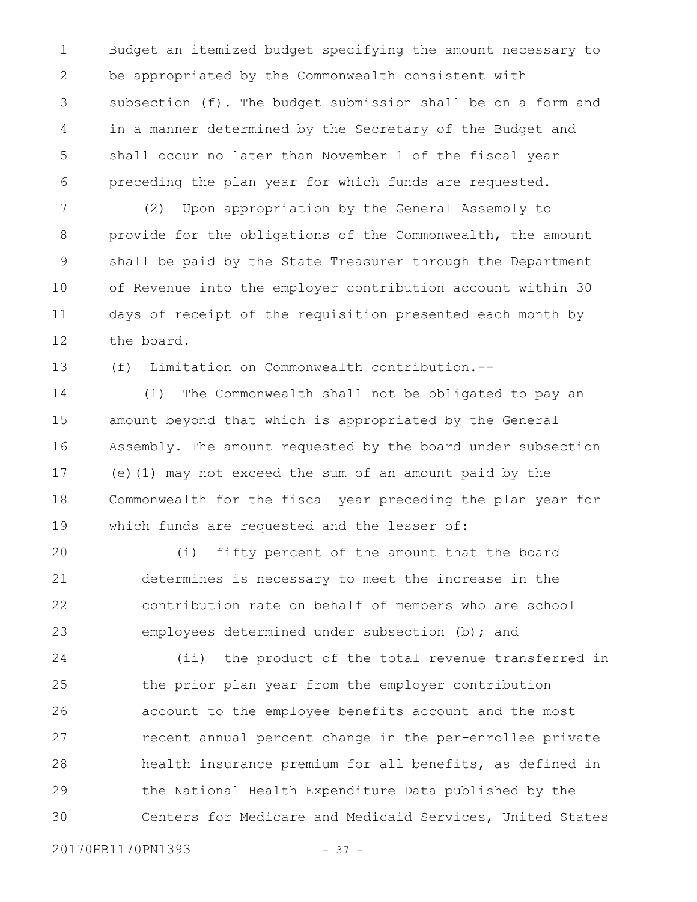Budget an itemized budget specifying the amount necessary to be appropriated by the Commonwealth consistent with subsection (f). The budget submission shall be on a form and in a manner determined by the Secretary of the Budget and shall occur no later than November 1 of the fiscal year preceding the plan year for which funds are requested. 1 2 3 4 5 6

(2) Upon appropriation by the General Assembly to provide for the obligations of the Commonwealth, the amount shall be paid by the State Treasurer through the Department of Revenue into the employer contribution account within 30 days of receipt of the requisition presented each month by the board. 7 8 9 10 11 12

(f) Limitation on Commonwealth contribution.-- 13

(1) The Commonwealth shall not be obligated to pay an amount beyond that which is appropriated by the General Assembly. The amount requested by the board under subsection (e)(1) may not exceed the sum of an amount paid by the Commonwealth for the fiscal year preceding the plan year for which funds are requested and the lesser of: 14 15 16 17 18 19

(i) fifty percent of the amount that the board determines is necessary to meet the increase in the contribution rate on behalf of members who are school employees determined under subsection (b); and 20 21 22 23

(ii) the product of the total revenue transferred in the prior plan year from the employer contribution account to the employee benefits account and the most recent annual percent change in the per-enrollee private health insurance premium for all benefits, as defined in the National Health Expenditure Data published by the Centers for Medicare and Medicaid Services, United States 24 25 26 27 28 29 30

20170HB1170PN1393 - 37 -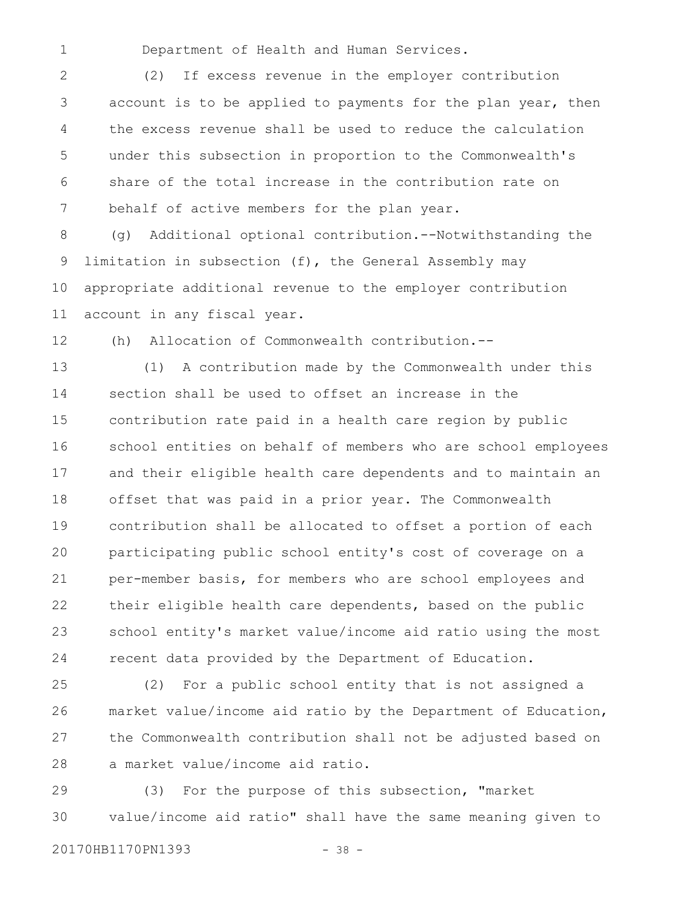1

Department of Health and Human Services.

(2) If excess revenue in the employer contribution account is to be applied to payments for the plan year, then the excess revenue shall be used to reduce the calculation under this subsection in proportion to the Commonwealth's share of the total increase in the contribution rate on behalf of active members for the plan year. 2 3 4 5 6 7

(g) Additional optional contribution.--Notwithstanding the limitation in subsection (f), the General Assembly may appropriate additional revenue to the employer contribution account in any fiscal year. 8 9 10 11

12

(h) Allocation of Commonwealth contribution.--

(1) A contribution made by the Commonwealth under this section shall be used to offset an increase in the contribution rate paid in a health care region by public school entities on behalf of members who are school employees and their eligible health care dependents and to maintain an offset that was paid in a prior year. The Commonwealth contribution shall be allocated to offset a portion of each participating public school entity's cost of coverage on a per-member basis, for members who are school employees and their eligible health care dependents, based on the public school entity's market value/income aid ratio using the most recent data provided by the Department of Education. 13 14 15 16 17 18 19 20 21 22 23 24

(2) For a public school entity that is not assigned a market value/income aid ratio by the Department of Education, the Commonwealth contribution shall not be adjusted based on a market value/income aid ratio. 25 26 27 28

(3) For the purpose of this subsection, "market value/income aid ratio" shall have the same meaning given to 29 30

20170HB1170PN1393 - 38 -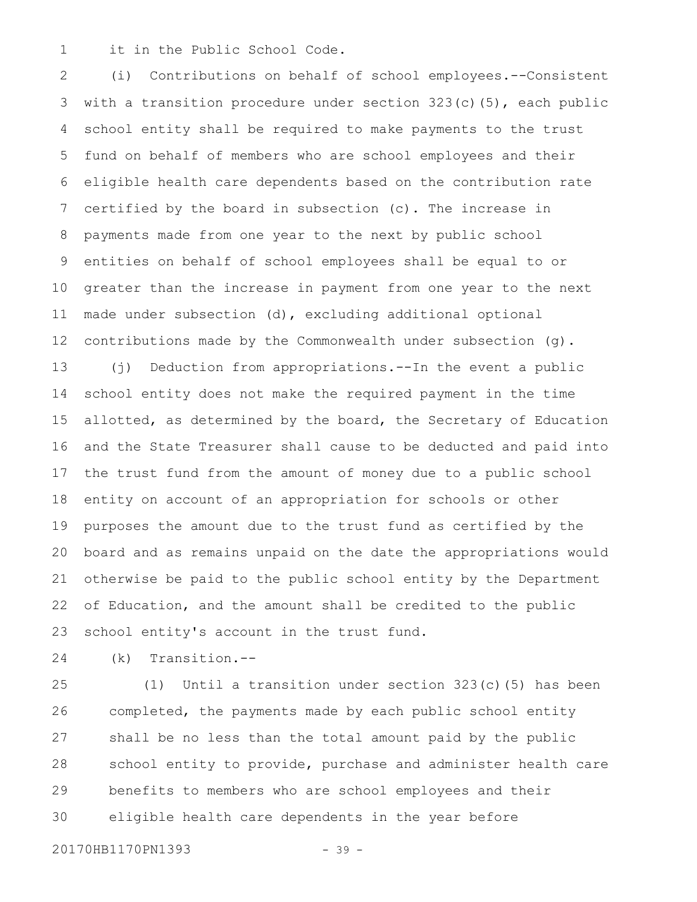it in the Public School Code. 1

(i) Contributions on behalf of school employees.--Consistent with a transition procedure under section  $323(c)(5)$ , each public school entity shall be required to make payments to the trust fund on behalf of members who are school employees and their eligible health care dependents based on the contribution rate certified by the board in subsection (c). The increase in payments made from one year to the next by public school entities on behalf of school employees shall be equal to or greater than the increase in payment from one year to the next made under subsection (d), excluding additional optional contributions made by the Commonwealth under subsection (g). (j) Deduction from appropriations.--In the event a public school entity does not make the required payment in the time allotted, as determined by the board, the Secretary of Education and the State Treasurer shall cause to be deducted and paid into the trust fund from the amount of money due to a public school entity on account of an appropriation for schools or other purposes the amount due to the trust fund as certified by the board and as remains unpaid on the date the appropriations would otherwise be paid to the public school entity by the Department of Education, and the amount shall be credited to the public school entity's account in the trust fund. 2 3 4 5 6 7 8 9 10 11 12 13 14 15 16 17 18 19 20 21 22 23

24

(k) Transition.--

(1) Until a transition under section 323(c)(5) has been completed, the payments made by each public school entity shall be no less than the total amount paid by the public school entity to provide, purchase and administer health care benefits to members who are school employees and their eligible health care dependents in the year before 25 26 27 28 29 30

20170HB1170PN1393 - 39 -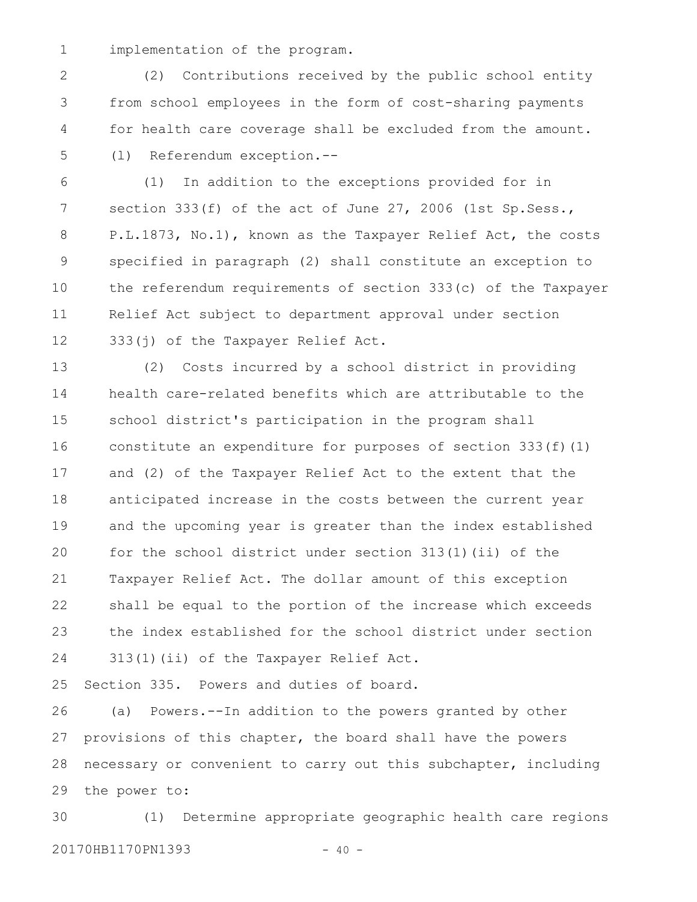implementation of the program. 1

(2) Contributions received by the public school entity from school employees in the form of cost-sharing payments for health care coverage shall be excluded from the amount. (l) Referendum exception.-- 2 3 4 5

(1) In addition to the exceptions provided for in section 333(f) of the act of June 27, 2006 (1st Sp. Sess., P.L.1873, No.1), known as the Taxpayer Relief Act, the costs specified in paragraph (2) shall constitute an exception to the referendum requirements of section 333(c) of the Taxpayer Relief Act subject to department approval under section 333(j) of the Taxpayer Relief Act. 6 7 8 9 10 11 12

(2) Costs incurred by a school district in providing health care-related benefits which are attributable to the school district's participation in the program shall constitute an expenditure for purposes of section 333(f)(1) and (2) of the Taxpayer Relief Act to the extent that the anticipated increase in the costs between the current year and the upcoming year is greater than the index established for the school district under section 313(1)(ii) of the Taxpayer Relief Act. The dollar amount of this exception shall be equal to the portion of the increase which exceeds the index established for the school district under section 313(1)(ii) of the Taxpayer Relief Act. 13 14 15 16 17 18 19 20 21 22 23 24

Section 335. Powers and duties of board. 25

(a) Powers.--In addition to the powers granted by other provisions of this chapter, the board shall have the powers necessary or convenient to carry out this subchapter, including the power to: 26 27 28 29

(1) Determine appropriate geographic health care regions 20170HB1170PN1393 - 40 -30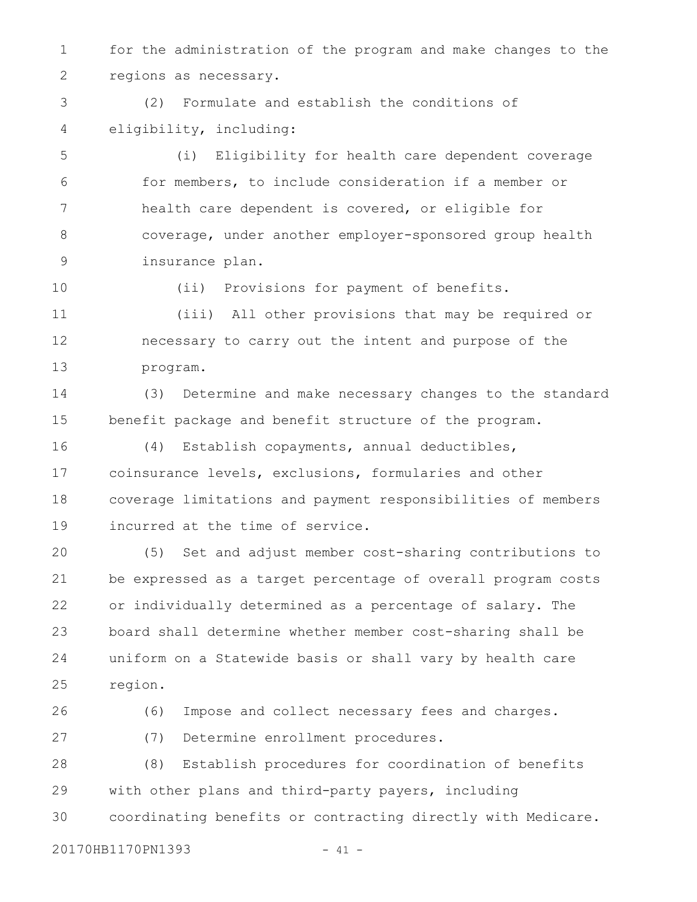for the administration of the program and make changes to the regions as necessary. 1 2

(2) Formulate and establish the conditions of eligibility, including: 3 4

(i) Eligibility for health care dependent coverage for members, to include consideration if a member or health care dependent is covered, or eligible for coverage, under another employer-sponsored group health insurance plan. 5 6 7 8 9

10

(ii) Provisions for payment of benefits.

(iii) All other provisions that may be required or necessary to carry out the intent and purpose of the program. 11 12 13

(3) Determine and make necessary changes to the standard benefit package and benefit structure of the program. 14 15

(4) Establish copayments, annual deductibles, coinsurance levels, exclusions, formularies and other coverage limitations and payment responsibilities of members incurred at the time of service. 16 17 18 19

(5) Set and adjust member cost-sharing contributions to be expressed as a target percentage of overall program costs or individually determined as a percentage of salary. The board shall determine whether member cost-sharing shall be uniform on a Statewide basis or shall vary by health care region. 20 21 22 23 24 25

26 27

(7) Determine enrollment procedures.

(8) Establish procedures for coordination of benefits with other plans and third-party payers, including coordinating benefits or contracting directly with Medicare. 28 29 30

20170HB1170PN1393 - 41 -

(6) Impose and collect necessary fees and charges.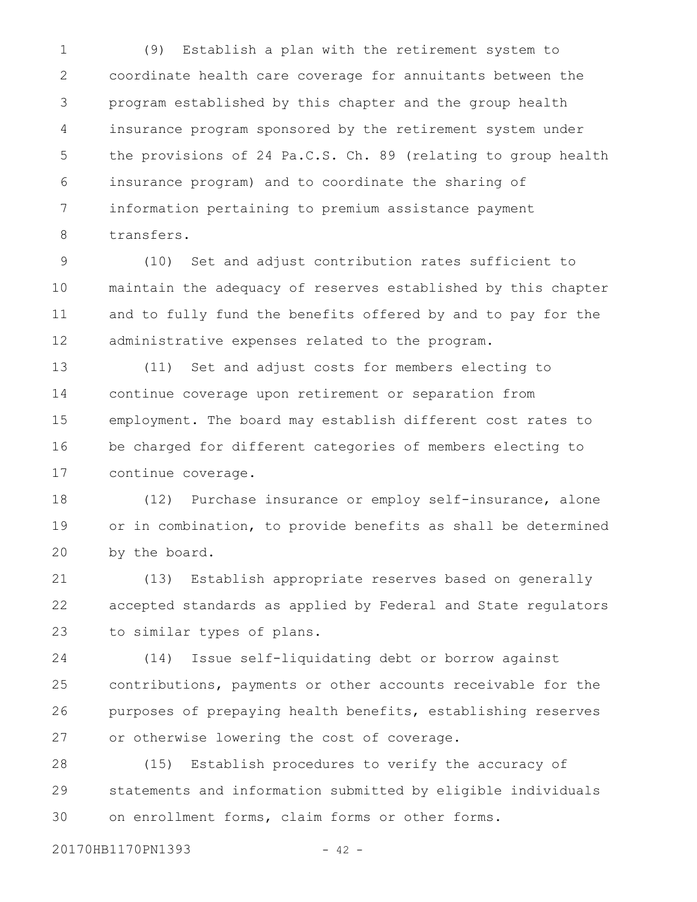(9) Establish a plan with the retirement system to coordinate health care coverage for annuitants between the program established by this chapter and the group health insurance program sponsored by the retirement system under the provisions of 24 Pa.C.S. Ch. 89 (relating to group health insurance program) and to coordinate the sharing of information pertaining to premium assistance payment transfers. 1 2 3 4 5 6 7 8

(10) Set and adjust contribution rates sufficient to maintain the adequacy of reserves established by this chapter and to fully fund the benefits offered by and to pay for the administrative expenses related to the program. 9 10 11 12

(11) Set and adjust costs for members electing to continue coverage upon retirement or separation from employment. The board may establish different cost rates to be charged for different categories of members electing to continue coverage. 13 14 15 16 17

(12) Purchase insurance or employ self-insurance, alone or in combination, to provide benefits as shall be determined by the board. 18 19 20

(13) Establish appropriate reserves based on generally accepted standards as applied by Federal and State regulators to similar types of plans. 21 22 23

(14) Issue self-liquidating debt or borrow against contributions, payments or other accounts receivable for the purposes of prepaying health benefits, establishing reserves or otherwise lowering the cost of coverage. 24 25 26 27

(15) Establish procedures to verify the accuracy of statements and information submitted by eligible individuals on enrollment forms, claim forms or other forms. 28 29 30

20170HB1170PN1393 - 42 -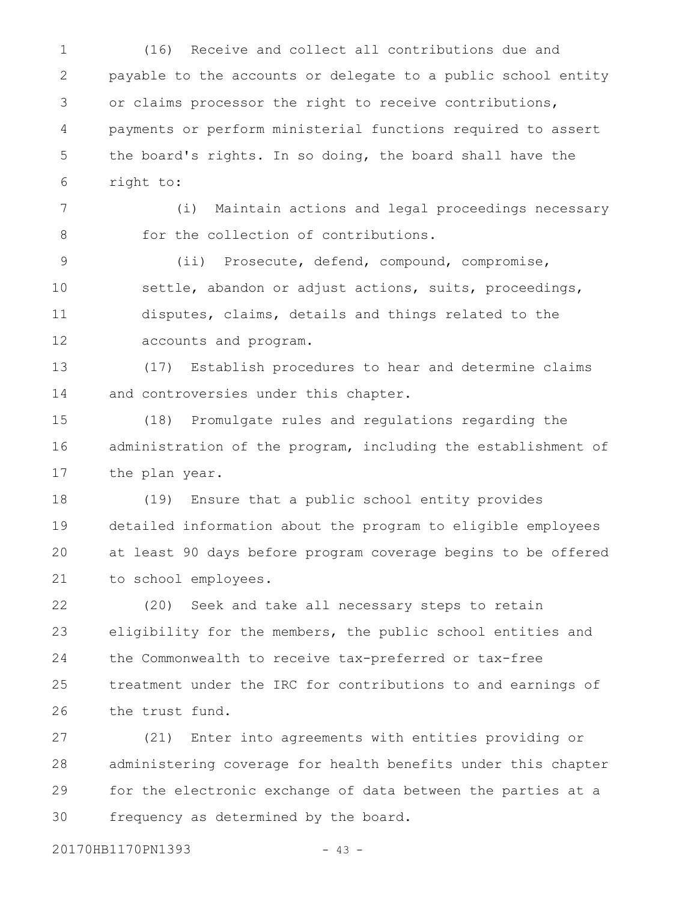(16) Receive and collect all contributions due and payable to the accounts or delegate to a public school entity or claims processor the right to receive contributions, payments or perform ministerial functions required to assert the board's rights. In so doing, the board shall have the right to: 1 2 3 4 5 6

(i) Maintain actions and legal proceedings necessary for the collection of contributions. 7 8

(ii) Prosecute, defend, compound, compromise, settle, abandon or adjust actions, suits, proceedings, disputes, claims, details and things related to the accounts and program. 9 10 11 12

(17) Establish procedures to hear and determine claims and controversies under this chapter. 13 14

(18) Promulgate rules and regulations regarding the administration of the program, including the establishment of the plan year. 15 16 17

(19) Ensure that a public school entity provides detailed information about the program to eligible employees at least 90 days before program coverage begins to be offered to school employees. 18 19 20 21

(20) Seek and take all necessary steps to retain eligibility for the members, the public school entities and the Commonwealth to receive tax-preferred or tax-free treatment under the IRC for contributions to and earnings of the trust fund. 22 23 24 25 26

(21) Enter into agreements with entities providing or administering coverage for health benefits under this chapter for the electronic exchange of data between the parties at a frequency as determined by the board. 27 28 29 30

20170HB1170PN1393 - 43 -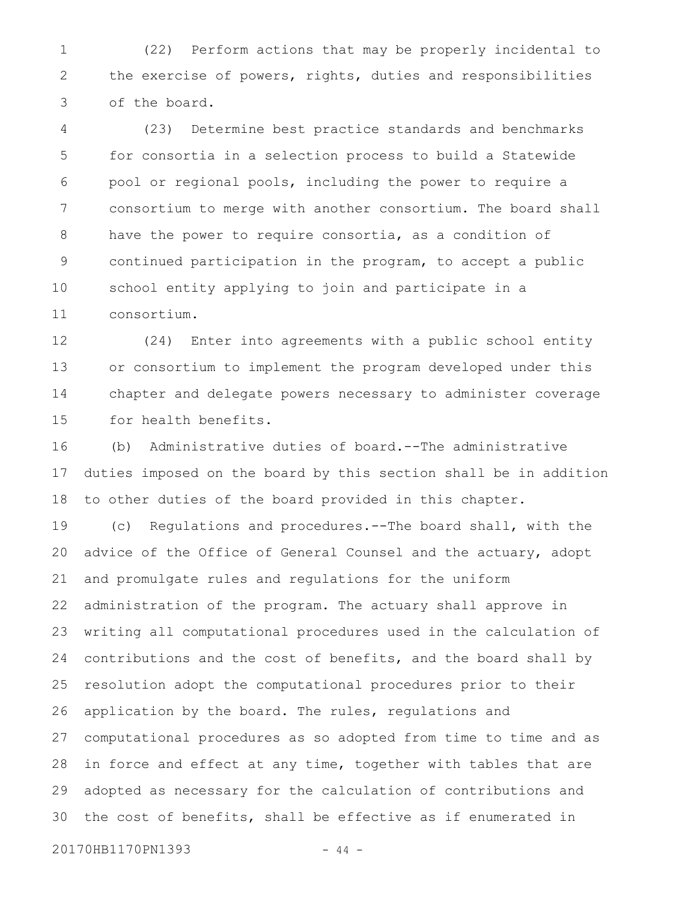(22) Perform actions that may be properly incidental to the exercise of powers, rights, duties and responsibilities of the board. 1 2 3

(23) Determine best practice standards and benchmarks for consortia in a selection process to build a Statewide pool or regional pools, including the power to require a consortium to merge with another consortium. The board shall have the power to require consortia, as a condition of continued participation in the program, to accept a public school entity applying to join and participate in a consortium. 4 5 6 7 8 9 10 11

(24) Enter into agreements with a public school entity or consortium to implement the program developed under this chapter and delegate powers necessary to administer coverage for health benefits. 12 13 14 15

(b) Administrative duties of board.--The administrative duties imposed on the board by this section shall be in addition to other duties of the board provided in this chapter. 16 17 18

(c) Regulations and procedures.--The board shall, with the advice of the Office of General Counsel and the actuary, adopt and promulgate rules and regulations for the uniform administration of the program. The actuary shall approve in writing all computational procedures used in the calculation of contributions and the cost of benefits, and the board shall by resolution adopt the computational procedures prior to their application by the board. The rules, regulations and computational procedures as so adopted from time to time and as in force and effect at any time, together with tables that are adopted as necessary for the calculation of contributions and the cost of benefits, shall be effective as if enumerated in 19 20 21 22 23 24 25 26 27 28 29 30

20170HB1170PN1393 - 44 -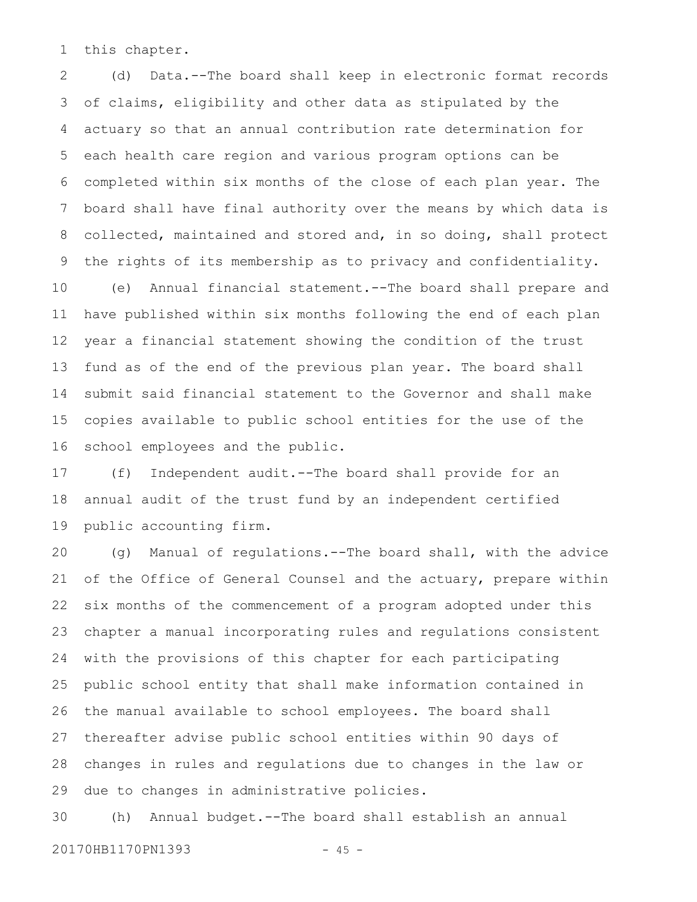this chapter. 1

(d) Data.--The board shall keep in electronic format records of claims, eligibility and other data as stipulated by the actuary so that an annual contribution rate determination for each health care region and various program options can be completed within six months of the close of each plan year. The board shall have final authority over the means by which data is collected, maintained and stored and, in so doing, shall protect the rights of its membership as to privacy and confidentiality. (e) Annual financial statement.--The board shall prepare and have published within six months following the end of each plan year a financial statement showing the condition of the trust fund as of the end of the previous plan year. The board shall submit said financial statement to the Governor and shall make copies available to public school entities for the use of the school employees and the public. 2 3 4 5 6 7 8 9 10 11 12 13 14 15 16

(f) Independent audit.--The board shall provide for an annual audit of the trust fund by an independent certified public accounting firm. 17 18 19

(g) Manual of regulations.--The board shall, with the advice of the Office of General Counsel and the actuary, prepare within six months of the commencement of a program adopted under this chapter a manual incorporating rules and regulations consistent with the provisions of this chapter for each participating public school entity that shall make information contained in the manual available to school employees. The board shall thereafter advise public school entities within 90 days of changes in rules and regulations due to changes in the law or due to changes in administrative policies. 20 21 22 23 24 25 26 27 28 29

(h) Annual budget.--The board shall establish an annual 30

20170HB1170PN1393 - 45 -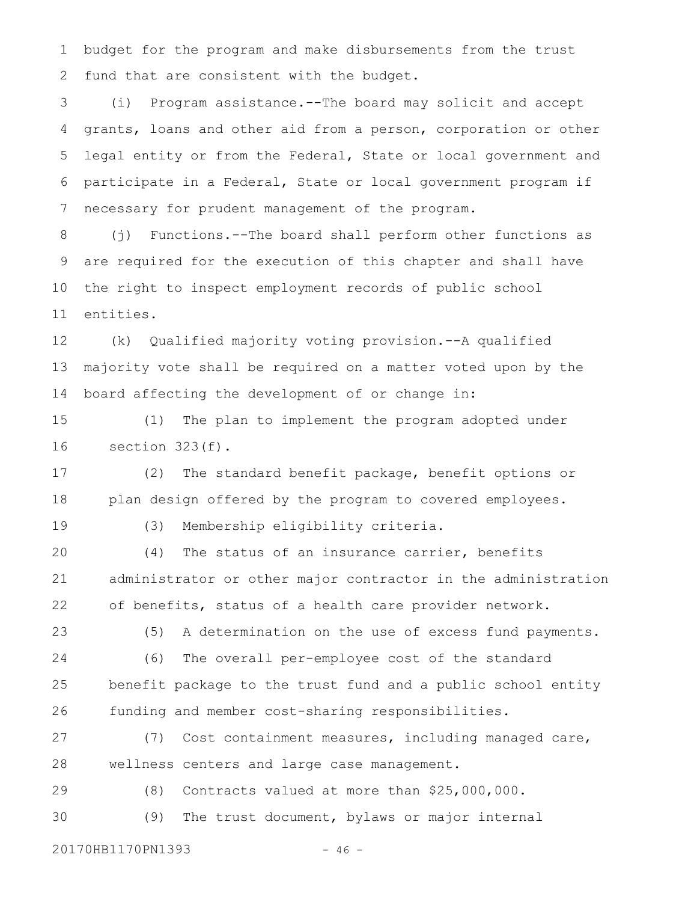budget for the program and make disbursements from the trust fund that are consistent with the budget. 1 2

(i) Program assistance.--The board may solicit and accept grants, loans and other aid from a person, corporation or other legal entity or from the Federal, State or local government and participate in a Federal, State or local government program if necessary for prudent management of the program. 3 4 5 6 7

(j) Functions.--The board shall perform other functions as are required for the execution of this chapter and shall have the right to inspect employment records of public school entities. 8 9 10 11

(k) Qualified majority voting provision.--A qualified majority vote shall be required on a matter voted upon by the board affecting the development of or change in: 12 13 14

(1) The plan to implement the program adopted under section 323(f). 15 16

(2) The standard benefit package, benefit options or plan design offered by the program to covered employees. 17 18

19

(3) Membership eligibility criteria.

(4) The status of an insurance carrier, benefits administrator or other major contractor in the administration of benefits, status of a health care provider network. 20 21 22

(5) A determination on the use of excess fund payments. (6) The overall per-employee cost of the standard benefit package to the trust fund and a public school entity funding and member cost-sharing responsibilities. 23 24 25 26

(7) Cost containment measures, including managed care, wellness centers and large case management. 27 28

(8) Contracts valued at more than \$25,000,000. 29

(9) The trust document, bylaws or major internal 30

20170HB1170PN1393 - 46 -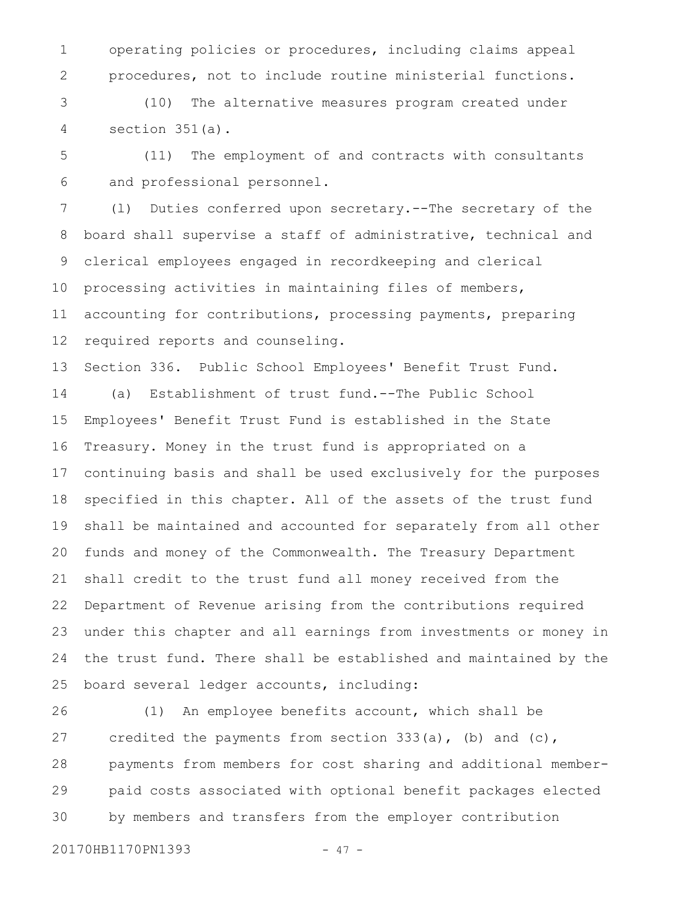operating policies or procedures, including claims appeal procedures, not to include routine ministerial functions. 1 2

(10) The alternative measures program created under section 351(a). 3 4

(11) The employment of and contracts with consultants and professional personnel. 5 6

(l) Duties conferred upon secretary.--The secretary of the board shall supervise a staff of administrative, technical and clerical employees engaged in recordkeeping and clerical processing activities in maintaining files of members, accounting for contributions, processing payments, preparing required reports and counseling. 7 8 9 10 11 12

Section 336. Public School Employees' Benefit Trust Fund. 13

(a) Establishment of trust fund.--The Public School Employees' Benefit Trust Fund is established in the State Treasury. Money in the trust fund is appropriated on a continuing basis and shall be used exclusively for the purposes specified in this chapter. All of the assets of the trust fund shall be maintained and accounted for separately from all other funds and money of the Commonwealth. The Treasury Department shall credit to the trust fund all money received from the Department of Revenue arising from the contributions required under this chapter and all earnings from investments or money in the trust fund. There shall be established and maintained by the board several ledger accounts, including: 14 15 16 17 18 19 20 21 22 23 24 25

(1) An employee benefits account, which shall be credited the payments from section 333(a), (b) and (c), payments from members for cost sharing and additional memberpaid costs associated with optional benefit packages elected by members and transfers from the employer contribution 26 27 28 29 30

20170HB1170PN1393 - 47 -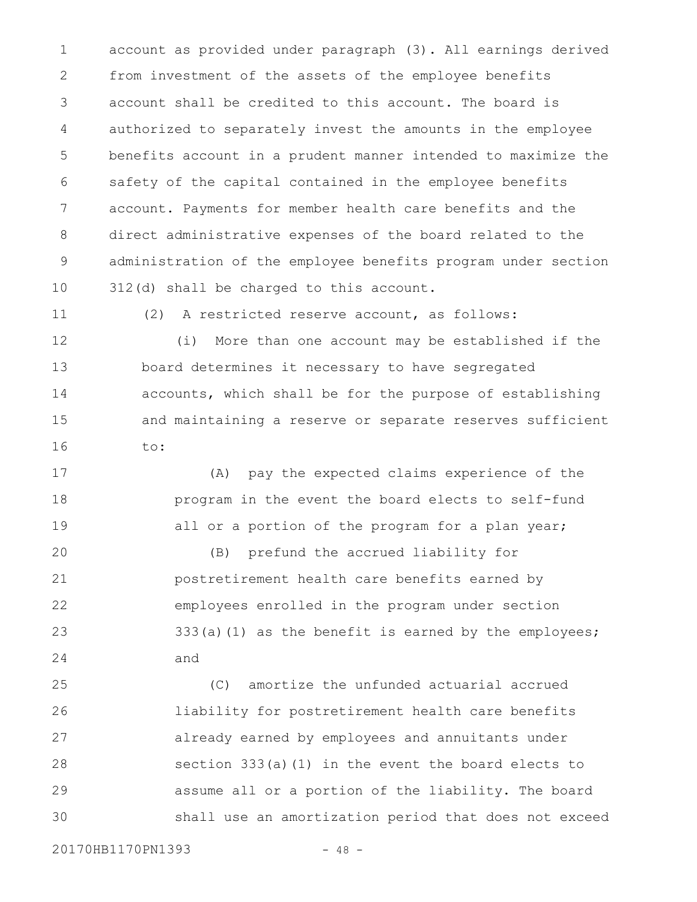account as provided under paragraph (3). All earnings derived from investment of the assets of the employee benefits account shall be credited to this account. The board is authorized to separately invest the amounts in the employee benefits account in a prudent manner intended to maximize the safety of the capital contained in the employee benefits account. Payments for member health care benefits and the direct administrative expenses of the board related to the administration of the employee benefits program under section 312(d) shall be charged to this account. 1 2 3 4 5 6 7 8 9 10

11

(2) A restricted reserve account, as follows:

(i) More than one account may be established if the board determines it necessary to have segregated accounts, which shall be for the purpose of establishing and maintaining a reserve or separate reserves sufficient to: 12 13 14 15 16

(A) pay the expected claims experience of the program in the event the board elects to self-fund all or a portion of the program for a plan year; 17 18 19

(B) prefund the accrued liability for postretirement health care benefits earned by employees enrolled in the program under section 333(a)(1) as the benefit is earned by the employees; and 20 21 22 23 24

(C) amortize the unfunded actuarial accrued liability for postretirement health care benefits already earned by employees and annuitants under section 333(a)(1) in the event the board elects to assume all or a portion of the liability. The board shall use an amortization period that does not exceed 25 26 27 28 29 30

20170HB1170PN1393 - 48 -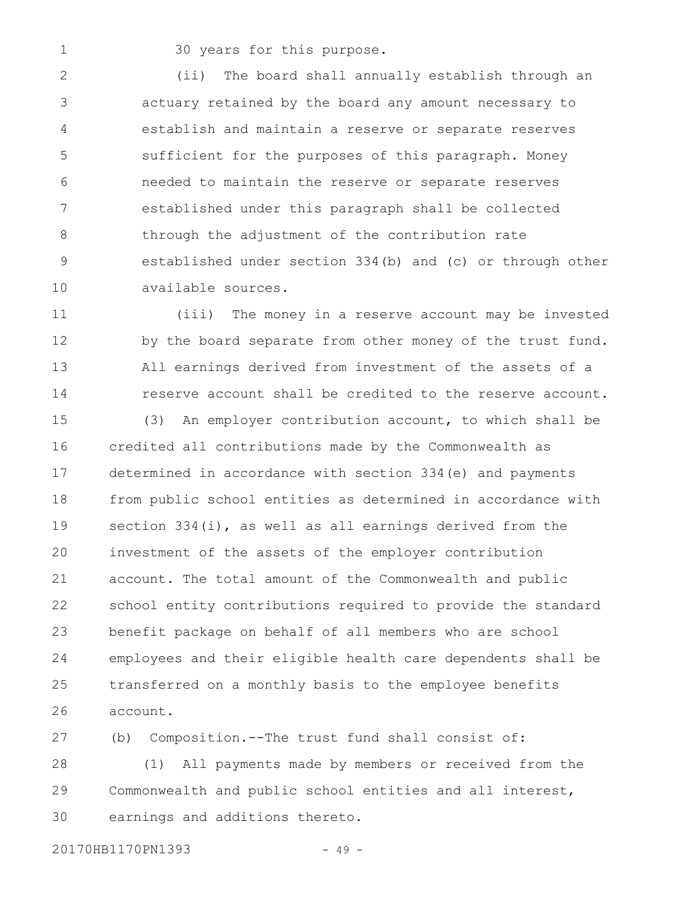1

30 years for this purpose.

(ii) The board shall annually establish through an actuary retained by the board any amount necessary to establish and maintain a reserve or separate reserves sufficient for the purposes of this paragraph. Money needed to maintain the reserve or separate reserves established under this paragraph shall be collected through the adjustment of the contribution rate established under section 334(b) and (c) or through other available sources. 2 3 4 5 6 7 8 9 10

(iii) The money in a reserve account may be invested by the board separate from other money of the trust fund. All earnings derived from investment of the assets of a reserve account shall be credited to the reserve account. 11 12 13 14

(3) An employer contribution account, to which shall be credited all contributions made by the Commonwealth as determined in accordance with section 334(e) and payments from public school entities as determined in accordance with section 334(i), as well as all earnings derived from the investment of the assets of the employer contribution account. The total amount of the Commonwealth and public school entity contributions required to provide the standard benefit package on behalf of all members who are school employees and their eligible health care dependents shall be transferred on a monthly basis to the employee benefits account. 15 16 17 18 19 20 21 22 23 24 25 26

(b) Composition.--The trust fund shall consist of: (1) All payments made by members or received from the Commonwealth and public school entities and all interest, earnings and additions thereto. 27 28 29 30

20170HB1170PN1393 - 49 -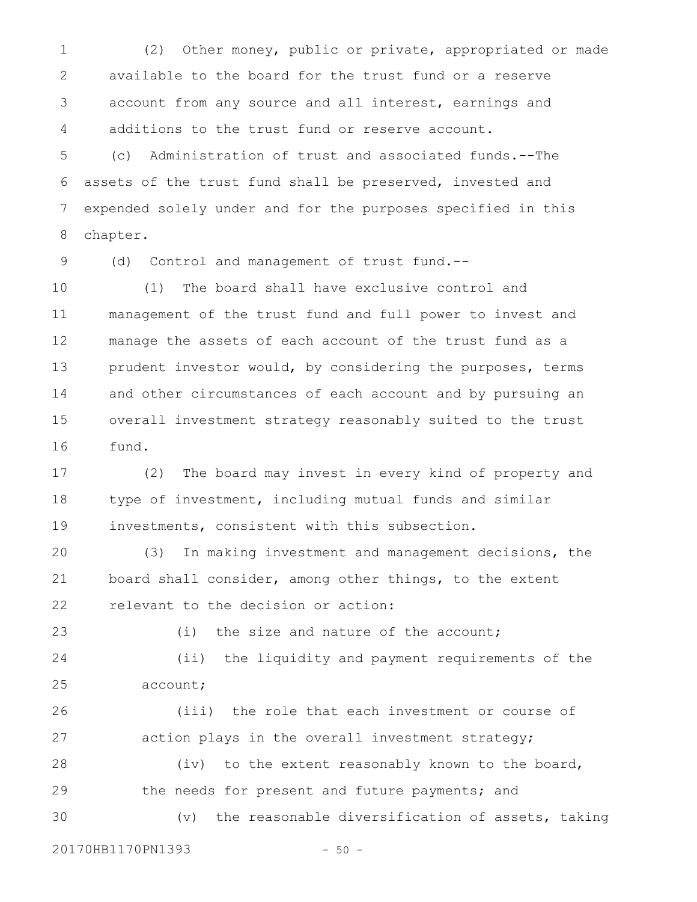(2) Other money, public or private, appropriated or made available to the board for the trust fund or a reserve account from any source and all interest, earnings and additions to the trust fund or reserve account. 1 2 3 4

(c) Administration of trust and associated funds.--The assets of the trust fund shall be preserved, invested and expended solely under and for the purposes specified in this chapter. 5 6 7 8

(d) Control and management of trust fund.-- 9

(1) The board shall have exclusive control and management of the trust fund and full power to invest and manage the assets of each account of the trust fund as a prudent investor would, by considering the purposes, terms and other circumstances of each account and by pursuing an overall investment strategy reasonably suited to the trust fund. 10 11 12 13 14 15 16

(2) The board may invest in every kind of property and type of investment, including mutual funds and similar investments, consistent with this subsection. 17 18 19

(3) In making investment and management decisions, the board shall consider, among other things, to the extent relevant to the decision or action: 20 21 22

23

(i) the size and nature of the account;

(ii) the liquidity and payment requirements of the account; 24 25

(iii) the role that each investment or course of action plays in the overall investment strategy; (iv) to the extent reasonably known to the board, the needs for present and future payments; and 26 27 28 29

(v) the reasonable diversification of assets, taking 30

20170HB1170PN1393 - 50 -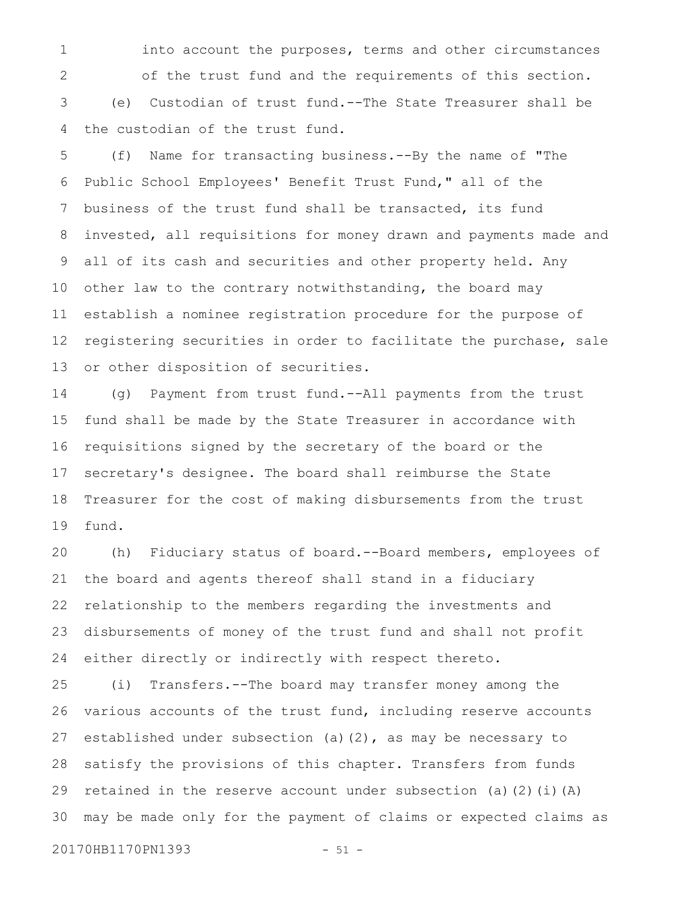into account the purposes, terms and other circumstances of the trust fund and the requirements of this section. (e) Custodian of trust fund.--The State Treasurer shall be the custodian of the trust fund. 1 2 3 4

(f) Name for transacting business.--By the name of "The Public School Employees' Benefit Trust Fund," all of the business of the trust fund shall be transacted, its fund invested, all requisitions for money drawn and payments made and all of its cash and securities and other property held. Any other law to the contrary notwithstanding, the board may establish a nominee registration procedure for the purpose of registering securities in order to facilitate the purchase, sale or other disposition of securities. 5 6 7 8 9 10 11 12 13

(g) Payment from trust fund.--All payments from the trust fund shall be made by the State Treasurer in accordance with requisitions signed by the secretary of the board or the secretary's designee. The board shall reimburse the State Treasurer for the cost of making disbursements from the trust fund. 14 15 16 17 18 19

(h) Fiduciary status of board.--Board members, employees of the board and agents thereof shall stand in a fiduciary relationship to the members regarding the investments and disbursements of money of the trust fund and shall not profit either directly or indirectly with respect thereto. 20 21 22 23 24

(i) Transfers.--The board may transfer money among the various accounts of the trust fund, including reserve accounts established under subsection (a)(2), as may be necessary to satisfy the provisions of this chapter. Transfers from funds retained in the reserve account under subsection (a)(2)(i)(A) may be made only for the payment of claims or expected claims as 25 26 27 28 29 30

20170HB1170PN1393 - 51 -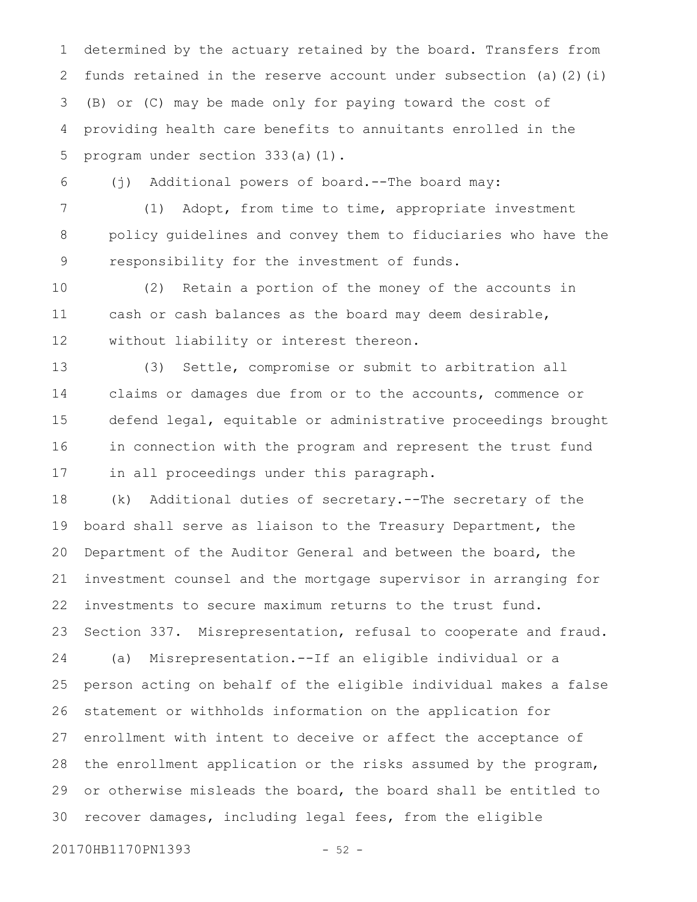determined by the actuary retained by the board. Transfers from funds retained in the reserve account under subsection (a)(2)(i) (B) or (C) may be made only for paying toward the cost of providing health care benefits to annuitants enrolled in the program under section 333(a)(1). 1 2 3 4 5

(j) Additional powers of board.--The board may:

(1) Adopt, from time to time, appropriate investment policy guidelines and convey them to fiduciaries who have the responsibility for the investment of funds. 7 8 9

(2) Retain a portion of the money of the accounts in cash or cash balances as the board may deem desirable, without liability or interest thereon. 10 11 12

(3) Settle, compromise or submit to arbitration all claims or damages due from or to the accounts, commence or defend legal, equitable or administrative proceedings brought in connection with the program and represent the trust fund in all proceedings under this paragraph. 13 14 15 16 17

(k) Additional duties of secretary.--The secretary of the board shall serve as liaison to the Treasury Department, the Department of the Auditor General and between the board, the investment counsel and the mortgage supervisor in arranging for investments to secure maximum returns to the trust fund. Section 337. Misrepresentation, refusal to cooperate and fraud. (a) Misrepresentation.--If an eligible individual or a person acting on behalf of the eligible individual makes a false statement or withholds information on the application for 18 19 20 21 22 23 24 25 26

enrollment with intent to deceive or affect the acceptance of the enrollment application or the risks assumed by the program, or otherwise misleads the board, the board shall be entitled to recover damages, including legal fees, from the eligible 28 29 30

20170HB1170PN1393 - 52 -

27

6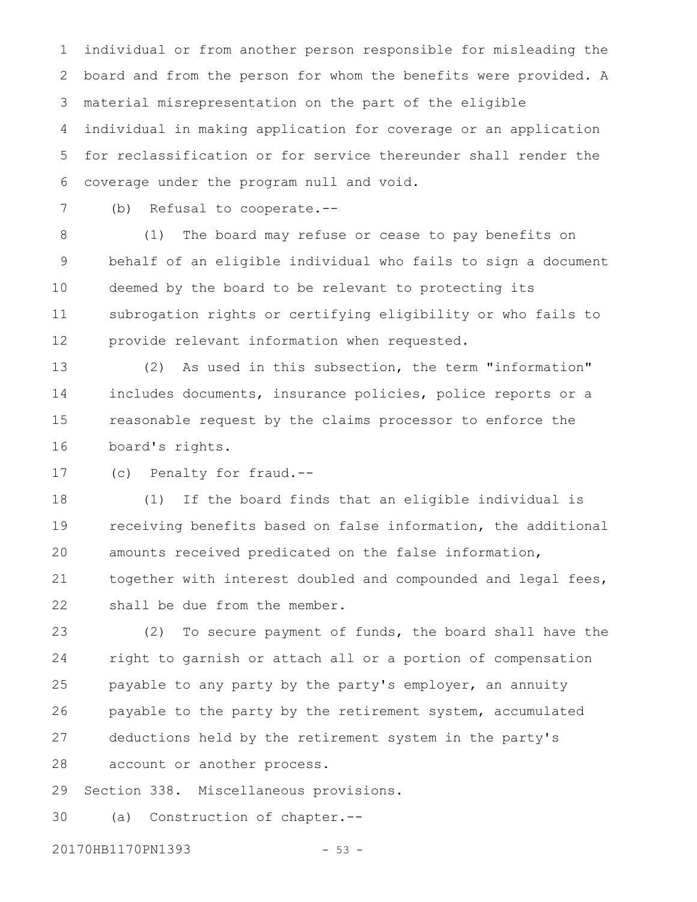individual or from another person responsible for misleading the board and from the person for whom the benefits were provided. A material misrepresentation on the part of the eligible individual in making application for coverage or an application for reclassification or for service thereunder shall render the coverage under the program null and void. 1 2 3 4 5 6

7

(b) Refusal to cooperate.--

(1) The board may refuse or cease to pay benefits on behalf of an eligible individual who fails to sign a document deemed by the board to be relevant to protecting its subrogation rights or certifying eligibility or who fails to provide relevant information when requested. 8 9 10 11 12

(2) As used in this subsection, the term "information" includes documents, insurance policies, police reports or a reasonable request by the claims processor to enforce the board's rights. 13 14 15 16

(c) Penalty for fraud.-- 17

(1) If the board finds that an eligible individual is receiving benefits based on false information, the additional amounts received predicated on the false information, together with interest doubled and compounded and legal fees, shall be due from the member. 18 19 20 21 22

(2) To secure payment of funds, the board shall have the right to garnish or attach all or a portion of compensation payable to any party by the party's employer, an annuity payable to the party by the retirement system, accumulated deductions held by the retirement system in the party's account or another process. 23 24 25 26 27 28

Section 338. Miscellaneous provisions. 29

(a) Construction of chapter.-- 30

20170HB1170PN1393 - 53 -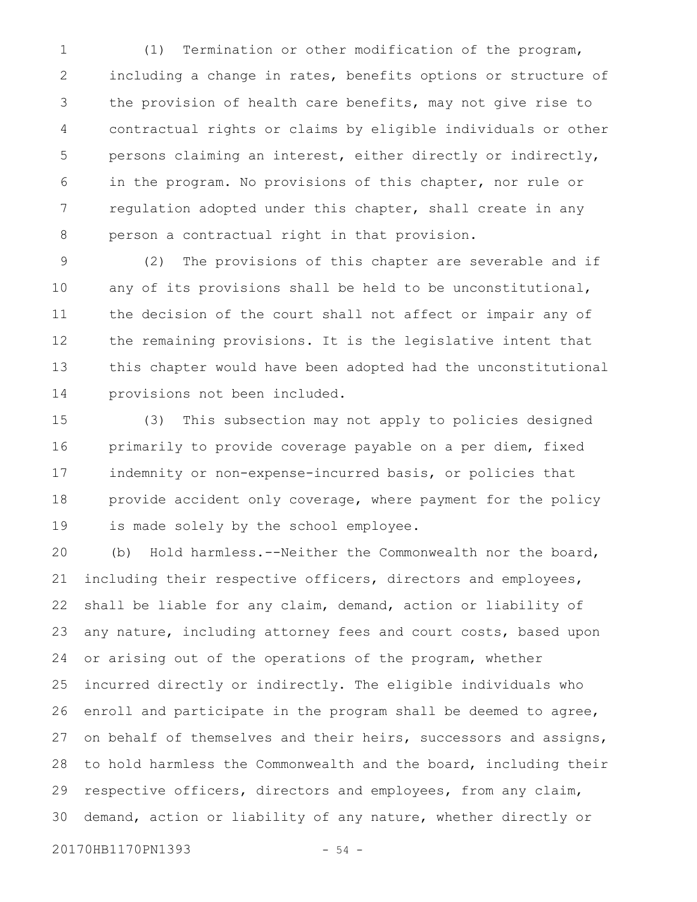(1) Termination or other modification of the program, including a change in rates, benefits options or structure of the provision of health care benefits, may not give rise to contractual rights or claims by eligible individuals or other persons claiming an interest, either directly or indirectly, in the program. No provisions of this chapter, nor rule or regulation adopted under this chapter, shall create in any person a contractual right in that provision. 1 2 3 4 5 6 7 8

(2) The provisions of this chapter are severable and if any of its provisions shall be held to be unconstitutional, the decision of the court shall not affect or impair any of the remaining provisions. It is the legislative intent that this chapter would have been adopted had the unconstitutional provisions not been included. 9 10 11 12 13 14

(3) This subsection may not apply to policies designed primarily to provide coverage payable on a per diem, fixed indemnity or non-expense-incurred basis, or policies that provide accident only coverage, where payment for the policy is made solely by the school employee. 15 16 17 18 19

(b) Hold harmless.--Neither the Commonwealth nor the board, including their respective officers, directors and employees, shall be liable for any claim, demand, action or liability of any nature, including attorney fees and court costs, based upon or arising out of the operations of the program, whether incurred directly or indirectly. The eligible individuals who enroll and participate in the program shall be deemed to agree, on behalf of themselves and their heirs, successors and assigns, to hold harmless the Commonwealth and the board, including their respective officers, directors and employees, from any claim, demand, action or liability of any nature, whether directly or 20 21 22 23 24 25 26 27 28 29 30

20170HB1170PN1393 - 54 -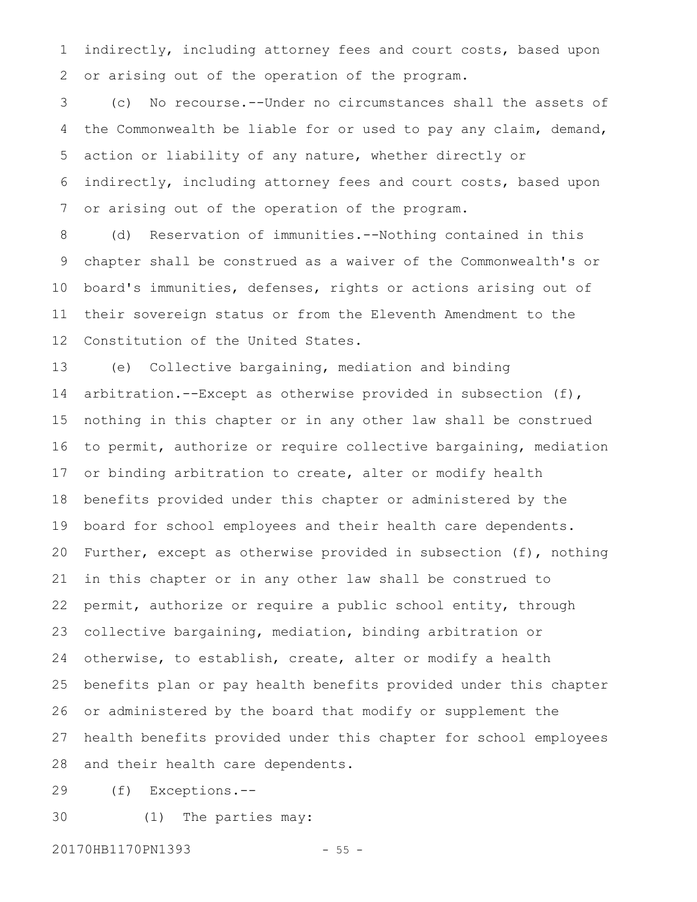indirectly, including attorney fees and court costs, based upon or arising out of the operation of the program. 1 2

(c) No recourse.--Under no circumstances shall the assets of the Commonwealth be liable for or used to pay any claim, demand, action or liability of any nature, whether directly or indirectly, including attorney fees and court costs, based upon or arising out of the operation of the program. 3 4 5 6 7

(d) Reservation of immunities.--Nothing contained in this chapter shall be construed as a waiver of the Commonwealth's or board's immunities, defenses, rights or actions arising out of their sovereign status or from the Eleventh Amendment to the Constitution of the United States. 8 9 10 11 12

(e) Collective bargaining, mediation and binding arbitration.--Except as otherwise provided in subsection (f), nothing in this chapter or in any other law shall be construed to permit, authorize or require collective bargaining, mediation or binding arbitration to create, alter or modify health benefits provided under this chapter or administered by the board for school employees and their health care dependents. Further, except as otherwise provided in subsection (f), nothing in this chapter or in any other law shall be construed to permit, authorize or require a public school entity, through collective bargaining, mediation, binding arbitration or otherwise, to establish, create, alter or modify a health benefits plan or pay health benefits provided under this chapter or administered by the board that modify or supplement the health benefits provided under this chapter for school employees and their health care dependents. 13 14 15 16 17 18 19 20 21 22 23 24 25 26 27 28

(f) Exceptions.-- 29

(1) The parties may: 30

20170HB1170PN1393 - 55 -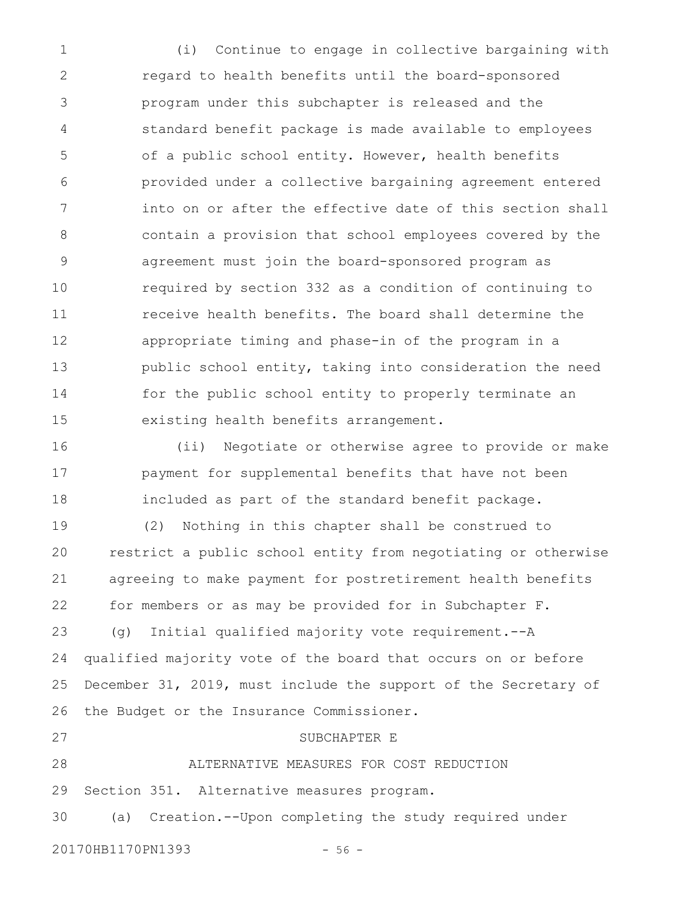(i) Continue to engage in collective bargaining with regard to health benefits until the board-sponsored program under this subchapter is released and the standard benefit package is made available to employees of a public school entity. However, health benefits provided under a collective bargaining agreement entered into on or after the effective date of this section shall contain a provision that school employees covered by the agreement must join the board-sponsored program as required by section 332 as a condition of continuing to receive health benefits. The board shall determine the appropriate timing and phase-in of the program in a public school entity, taking into consideration the need for the public school entity to properly terminate an existing health benefits arrangement. 1 2 3 4 5 6 7 8 9 10 11 12 13 14 15

(ii) Negotiate or otherwise agree to provide or make payment for supplemental benefits that have not been included as part of the standard benefit package. 16 17 18

(2) Nothing in this chapter shall be construed to restrict a public school entity from negotiating or otherwise agreeing to make payment for postretirement health benefits for members or as may be provided for in Subchapter F. (g) Initial qualified majority vote requirement.--A 19 20 21 22 23

qualified majority vote of the board that occurs on or before December 31, 2019, must include the support of the Secretary of the Budget or the Insurance Commissioner. 24 25 26

ALTERNATIVE MEASURES FOR COST REDUCTION Section 351. Alternative measures program. 28 29

(a) Creation.--Upon completing the study required under 30

20170HB1170PN1393 - 56 -

27

SUBCHAPTER E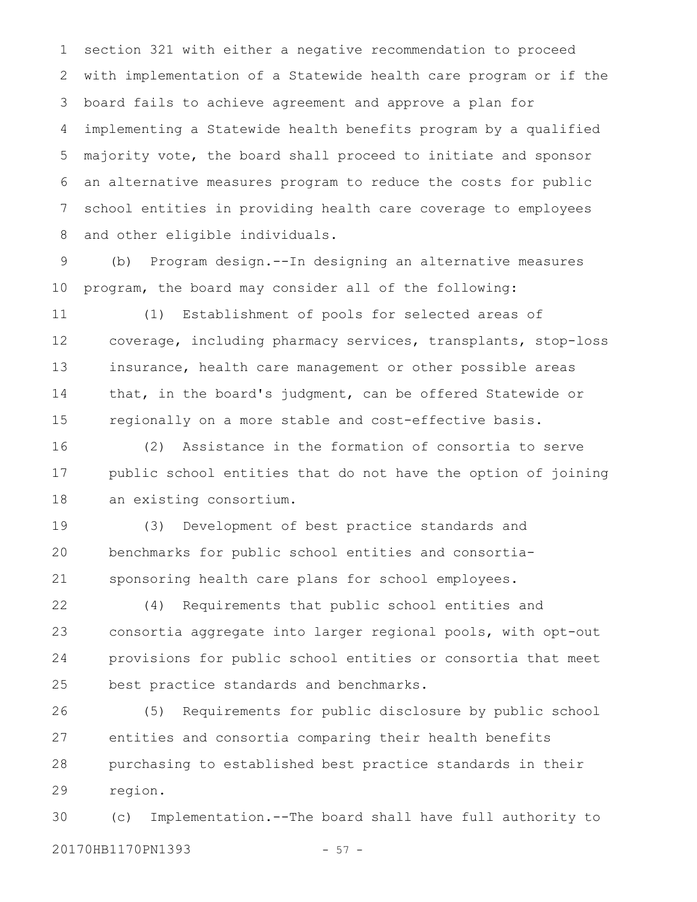section 321 with either a negative recommendation to proceed with implementation of a Statewide health care program or if the board fails to achieve agreement and approve a plan for implementing a Statewide health benefits program by a qualified majority vote, the board shall proceed to initiate and sponsor an alternative measures program to reduce the costs for public school entities in providing health care coverage to employees and other eligible individuals. 1 2 3 4 5 6 7 8

(b) Program design.--In designing an alternative measures program, the board may consider all of the following: 9 10

(1) Establishment of pools for selected areas of coverage, including pharmacy services, transplants, stop-loss insurance, health care management or other possible areas that, in the board's judgment, can be offered Statewide or regionally on a more stable and cost-effective basis. 11 12 13 14 15

(2) Assistance in the formation of consortia to serve public school entities that do not have the option of joining an existing consortium. 16 17 18

(3) Development of best practice standards and benchmarks for public school entities and consortiasponsoring health care plans for school employees. 19 20 21

(4) Requirements that public school entities and consortia aggregate into larger regional pools, with opt-out provisions for public school entities or consortia that meet best practice standards and benchmarks. 22 23 24 25

(5) Requirements for public disclosure by public school entities and consortia comparing their health benefits purchasing to established best practice standards in their region. 26 27 28 29

(c) Implementation.--The board shall have full authority to 20170HB1170PN1393 - 57 -30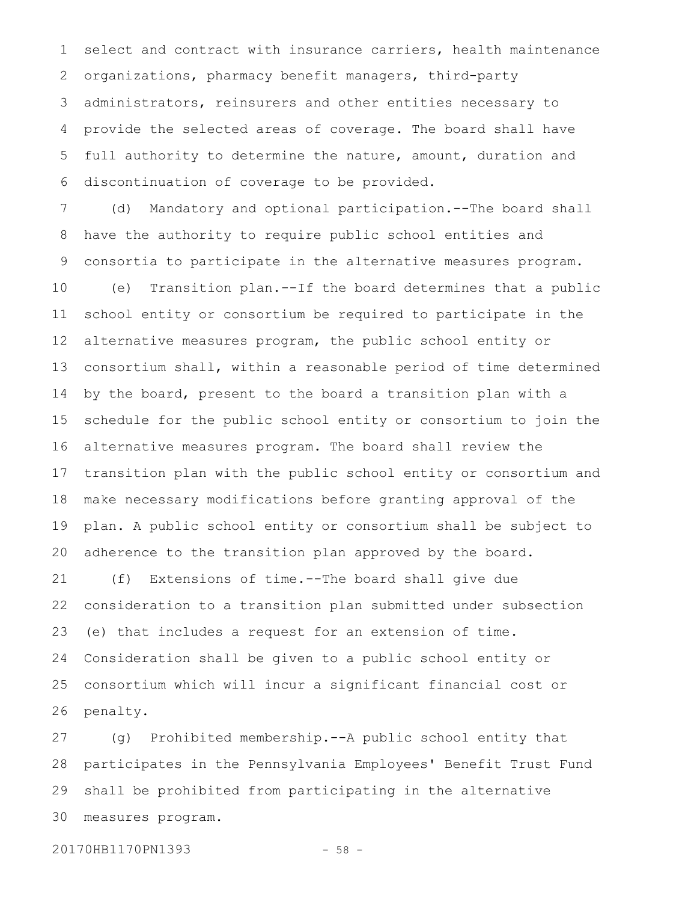select and contract with insurance carriers, health maintenance organizations, pharmacy benefit managers, third-party administrators, reinsurers and other entities necessary to provide the selected areas of coverage. The board shall have full authority to determine the nature, amount, duration and discontinuation of coverage to be provided. 1 2 3 4 5 6

(d) Mandatory and optional participation.--The board shall have the authority to require public school entities and consortia to participate in the alternative measures program. (e) Transition plan.--If the board determines that a public school entity or consortium be required to participate in the alternative measures program, the public school entity or consortium shall, within a reasonable period of time determined by the board, present to the board a transition plan with a schedule for the public school entity or consortium to join the alternative measures program. The board shall review the transition plan with the public school entity or consortium and make necessary modifications before granting approval of the plan. A public school entity or consortium shall be subject to adherence to the transition plan approved by the board. 7 8 9 10 11 12 13 14 15 16 17 18 19 20

(f) Extensions of time.--The board shall give due consideration to a transition plan submitted under subsection (e) that includes a request for an extension of time. Consideration shall be given to a public school entity or consortium which will incur a significant financial cost or penalty. 21 22 23 24 25 26

(g) Prohibited membership.--A public school entity that participates in the Pennsylvania Employees' Benefit Trust Fund shall be prohibited from participating in the alternative measures program. 27 28 29 30

20170HB1170PN1393 - 58 -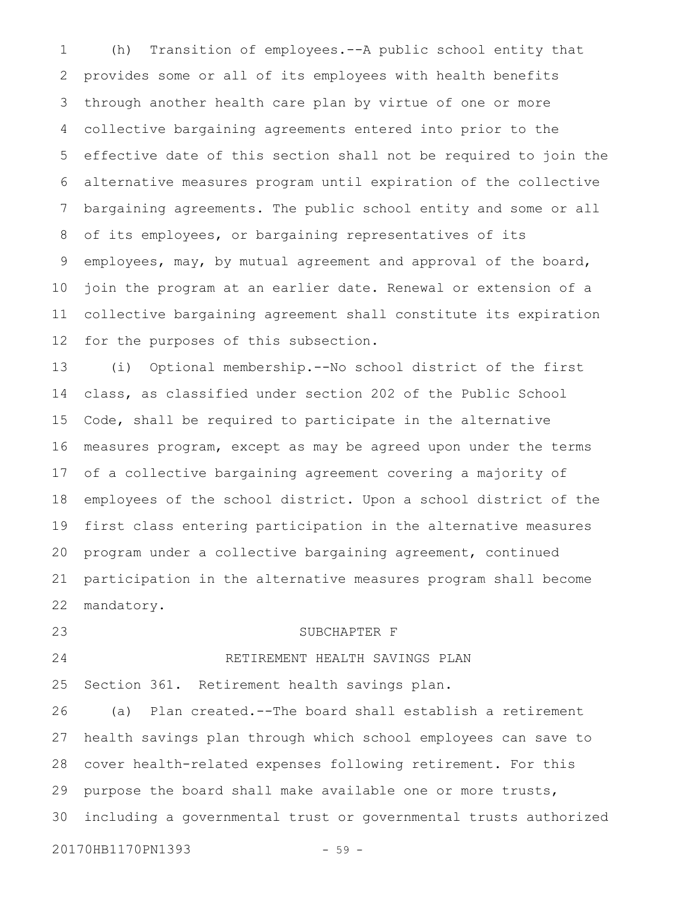(h) Transition of employees.--A public school entity that provides some or all of its employees with health benefits through another health care plan by virtue of one or more collective bargaining agreements entered into prior to the effective date of this section shall not be required to join the alternative measures program until expiration of the collective bargaining agreements. The public school entity and some or all of its employees, or bargaining representatives of its employees, may, by mutual agreement and approval of the board, join the program at an earlier date. Renewal or extension of a collective bargaining agreement shall constitute its expiration for the purposes of this subsection. 1 2 3 4 5 6 7 8 9 10 11 12

(i) Optional membership.--No school district of the first class, as classified under section 202 of the Public School Code, shall be required to participate in the alternative measures program, except as may be agreed upon under the terms of a collective bargaining agreement covering a majority of employees of the school district. Upon a school district of the first class entering participation in the alternative measures program under a collective bargaining agreement, continued participation in the alternative measures program shall become mandatory. 13 14 15 16 17 18 19 20 21 22

23

24

#### SUBCHAPTER F

## RETIREMENT HEALTH SAVINGS PLAN

Section 361. Retirement health savings plan. 25

(a) Plan created.--The board shall establish a retirement health savings plan through which school employees can save to cover health-related expenses following retirement. For this purpose the board shall make available one or more trusts, including a governmental trust or governmental trusts authorized 26 27 28 29 30

20170HB1170PN1393 - 59 -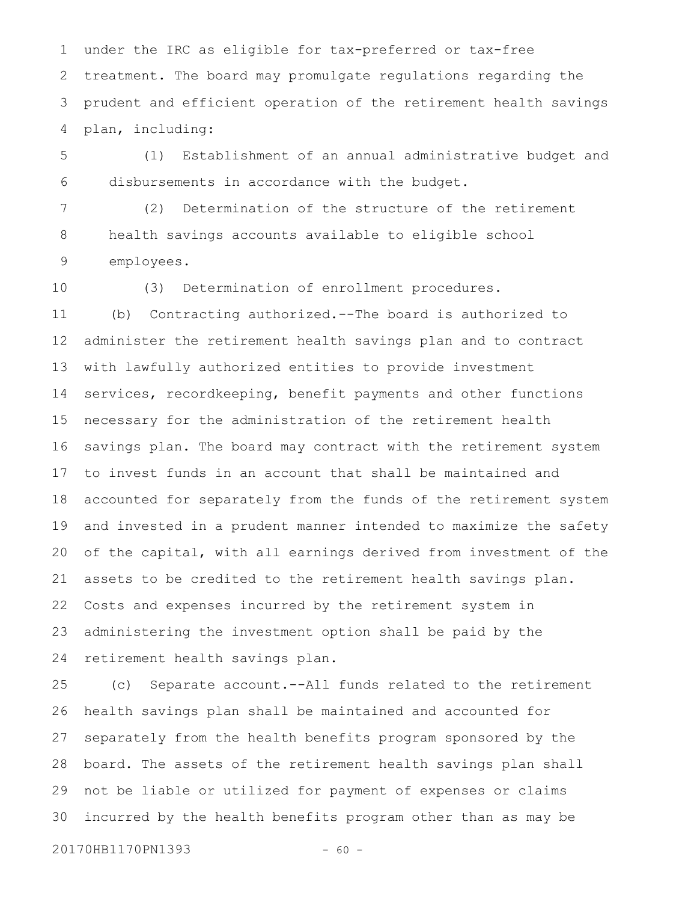under the IRC as eligible for tax-preferred or tax-free treatment. The board may promulgate regulations regarding the prudent and efficient operation of the retirement health savings plan, including: 1 2 3 4

(1) Establishment of an annual administrative budget and disbursements in accordance with the budget. 5 6

(2) Determination of the structure of the retirement health savings accounts available to eligible school employees. 7 8 9

10

(3) Determination of enrollment procedures.

(b) Contracting authorized.--The board is authorized to administer the retirement health savings plan and to contract with lawfully authorized entities to provide investment services, recordkeeping, benefit payments and other functions necessary for the administration of the retirement health savings plan. The board may contract with the retirement system to invest funds in an account that shall be maintained and accounted for separately from the funds of the retirement system and invested in a prudent manner intended to maximize the safety of the capital, with all earnings derived from investment of the assets to be credited to the retirement health savings plan. Costs and expenses incurred by the retirement system in administering the investment option shall be paid by the retirement health savings plan. 11 12 13 14 15 16 17 18 19 20 21 22 23 24

(c) Separate account.--All funds related to the retirement health savings plan shall be maintained and accounted for separately from the health benefits program sponsored by the board. The assets of the retirement health savings plan shall not be liable or utilized for payment of expenses or claims incurred by the health benefits program other than as may be 25 26 27 28 29 30

20170HB1170PN1393 - 60 -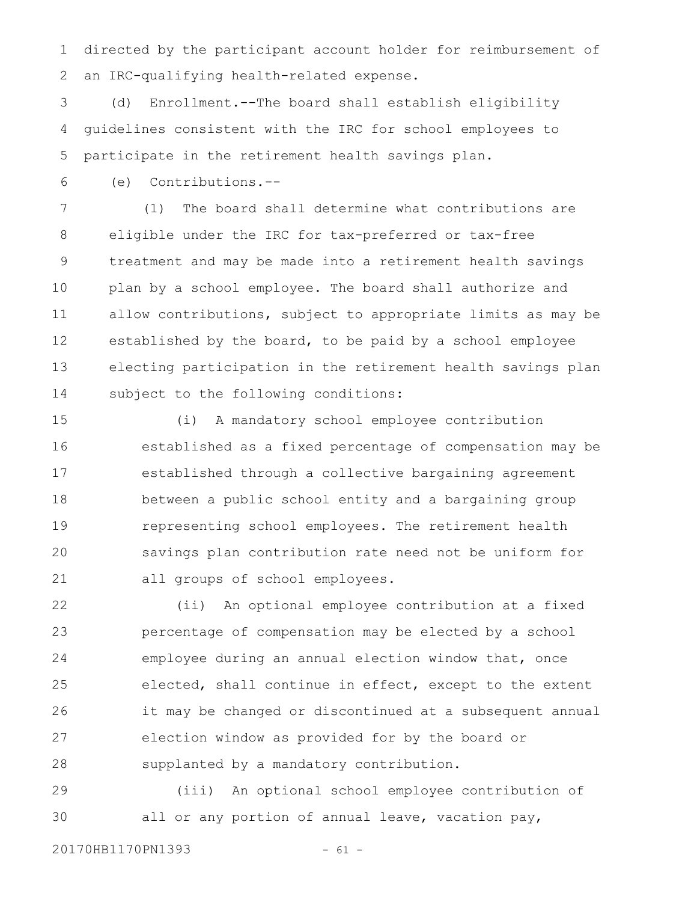directed by the participant account holder for reimbursement of an IRC-qualifying health-related expense. 1 2

(d) Enrollment.--The board shall establish eligibility guidelines consistent with the IRC for school employees to participate in the retirement health savings plan. 3 4 5

(e) Contributions.-- 6

(1) The board shall determine what contributions are eligible under the IRC for tax-preferred or tax-free treatment and may be made into a retirement health savings plan by a school employee. The board shall authorize and allow contributions, subject to appropriate limits as may be established by the board, to be paid by a school employee electing participation in the retirement health savings plan subject to the following conditions: 7 8 9 10 11 12 13 14

(i) A mandatory school employee contribution established as a fixed percentage of compensation may be established through a collective bargaining agreement between a public school entity and a bargaining group representing school employees. The retirement health savings plan contribution rate need not be uniform for all groups of school employees. 15 16 17 18 19 20 21

(ii) An optional employee contribution at a fixed percentage of compensation may be elected by a school employee during an annual election window that, once elected, shall continue in effect, except to the extent it may be changed or discontinued at a subsequent annual election window as provided for by the board or supplanted by a mandatory contribution. 22 23 24 25 26 27 28

(iii) An optional school employee contribution of all or any portion of annual leave, vacation pay, 29 30

20170HB1170PN1393 - 61 -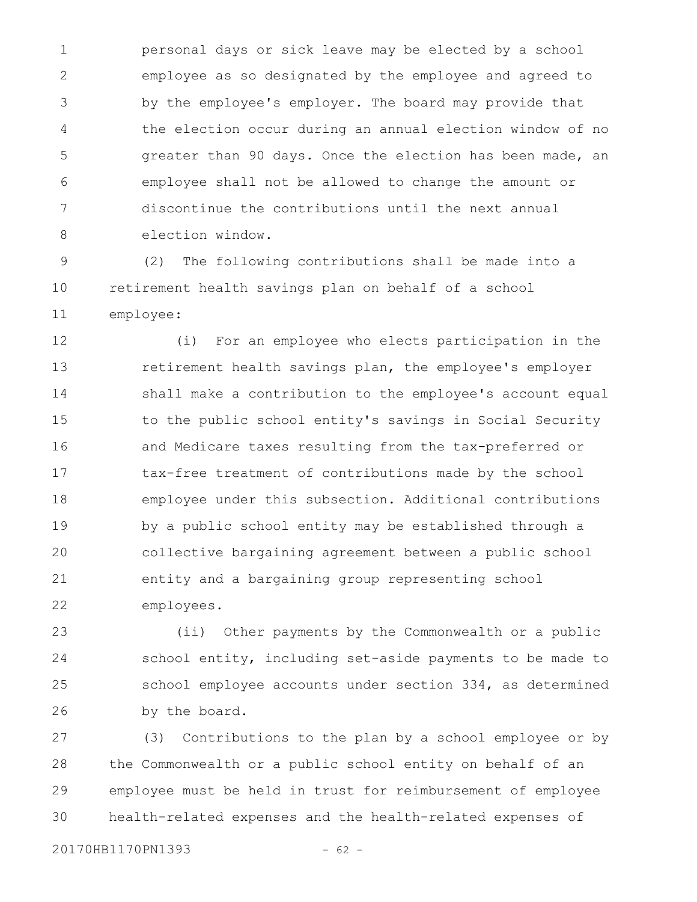personal days or sick leave may be elected by a school employee as so designated by the employee and agreed to by the employee's employer. The board may provide that the election occur during an annual election window of no greater than 90 days. Once the election has been made, an employee shall not be allowed to change the amount or discontinue the contributions until the next annual election window. 1 2 3 4 5 6 7 8

(2) The following contributions shall be made into a retirement health savings plan on behalf of a school employee: 9 10 11

(i) For an employee who elects participation in the retirement health savings plan, the employee's employer shall make a contribution to the employee's account equal to the public school entity's savings in Social Security and Medicare taxes resulting from the tax-preferred or tax-free treatment of contributions made by the school employee under this subsection. Additional contributions by a public school entity may be established through a collective bargaining agreement between a public school entity and a bargaining group representing school employees. 12 13 14 15 16 17 18 19 20 21 22

(ii) Other payments by the Commonwealth or a public school entity, including set-aside payments to be made to school employee accounts under section 334, as determined by the board. 23 24 25 26

(3) Contributions to the plan by a school employee or by the Commonwealth or a public school entity on behalf of an employee must be held in trust for reimbursement of employee health-related expenses and the health-related expenses of 27 28 29 30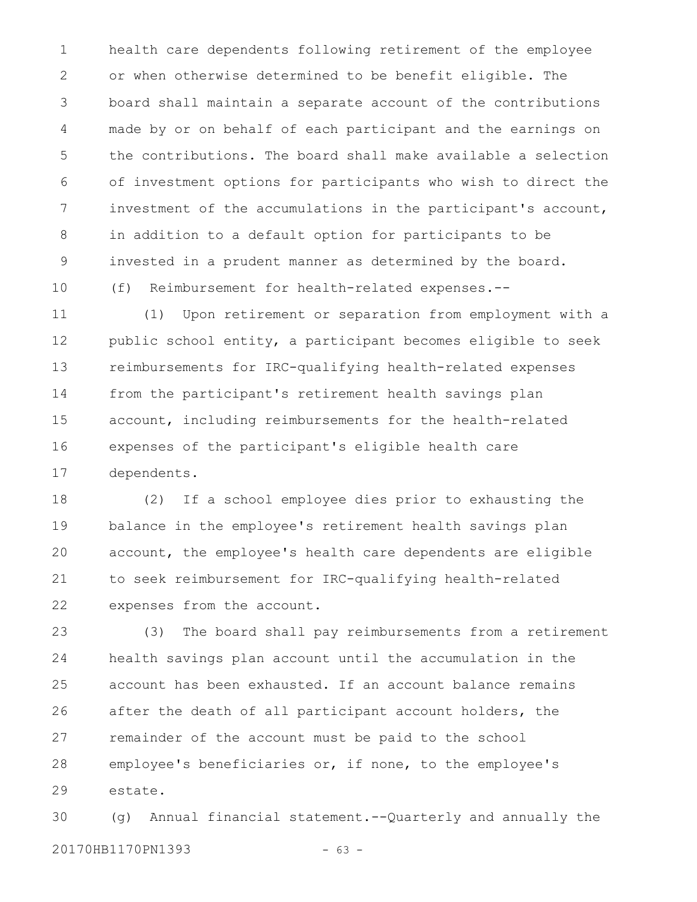health care dependents following retirement of the employee or when otherwise determined to be benefit eligible. The board shall maintain a separate account of the contributions made by or on behalf of each participant and the earnings on the contributions. The board shall make available a selection of investment options for participants who wish to direct the investment of the accumulations in the participant's account, in addition to a default option for participants to be invested in a prudent manner as determined by the board. (f) Reimbursement for health-related expenses.-- 1 2 3 4 5 6 7 8 9 10

(1) Upon retirement or separation from employment with a public school entity, a participant becomes eligible to seek reimbursements for IRC-qualifying health-related expenses from the participant's retirement health savings plan account, including reimbursements for the health-related expenses of the participant's eligible health care dependents. 11 12 13 14 15 16 17

(2) If a school employee dies prior to exhausting the balance in the employee's retirement health savings plan account, the employee's health care dependents are eligible to seek reimbursement for IRC-qualifying health-related expenses from the account. 18 19 20 21 22

(3) The board shall pay reimbursements from a retirement health savings plan account until the accumulation in the account has been exhausted. If an account balance remains after the death of all participant account holders, the remainder of the account must be paid to the school employee's beneficiaries or, if none, to the employee's estate. 23 24 25 26 27 28 29

(g) Annual financial statement.--Quarterly and annually the 20170HB1170PN1393 - 63 - 30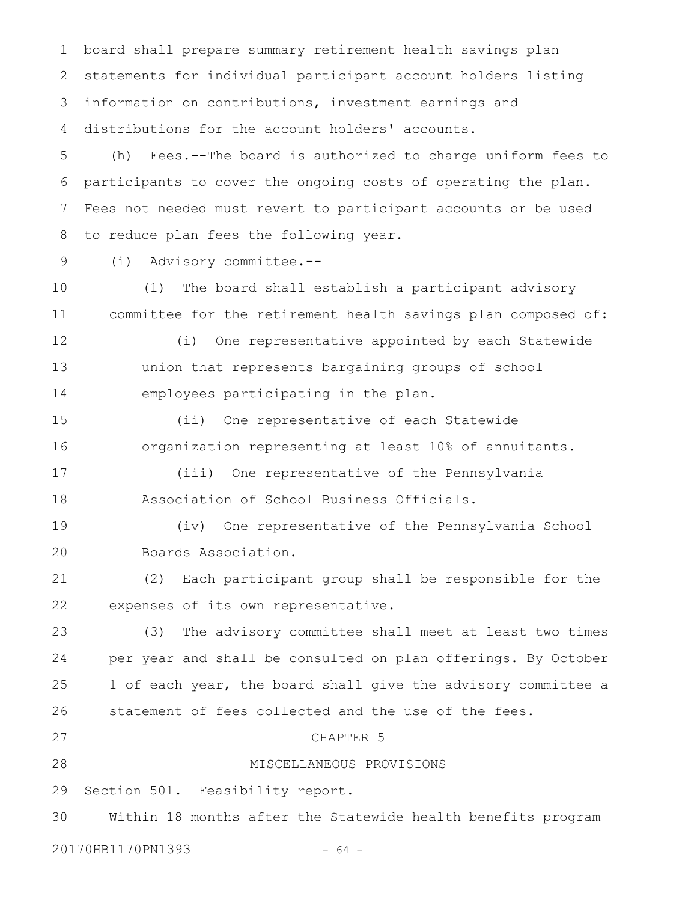board shall prepare summary retirement health savings plan statements for individual participant account holders listing information on contributions, investment earnings and distributions for the account holders' accounts. 1 2 3 4

(h) Fees.--The board is authorized to charge uniform fees to participants to cover the ongoing costs of operating the plan. Fees not needed must revert to participant accounts or be used to reduce plan fees the following year. 5 6 7 8

9

(i) Advisory committee.--

(1) The board shall establish a participant advisory committee for the retirement health savings plan composed of: 10 11

12

(i) One representative appointed by each Statewide union that represents bargaining groups of school employees participating in the plan. 13 14

(ii) One representative of each Statewide organization representing at least 10% of annuitants. 15 16

(iii) One representative of the Pennsylvania Association of School Business Officials. 17 18

(iv) One representative of the Pennsylvania School Boards Association. 19 20

(2) Each participant group shall be responsible for the expenses of its own representative. 21 22

(3) The advisory committee shall meet at least two times per year and shall be consulted on plan offerings. By October 1 of each year, the board shall give the advisory committee a statement of fees collected and the use of the fees. CHAPTER 5 23 24 25 26 27

28

MISCELLANEOUS PROVISIONS

Section 501. Feasibility report. 29

Within 18 months after the Statewide health benefits program 30